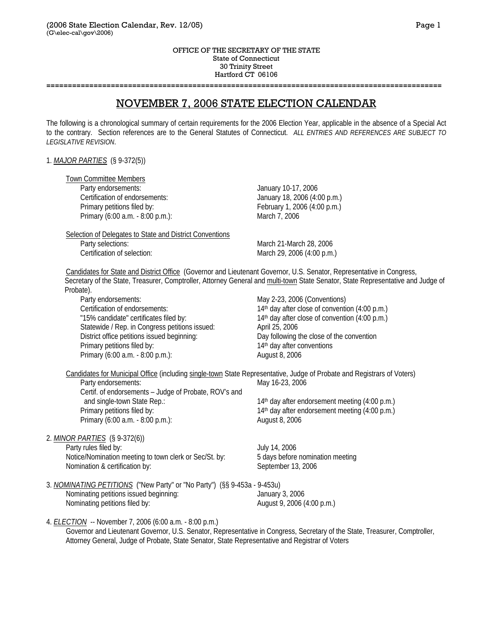#### OFFICE OF THE SECRETARY OF THE STATE State of Connecticut 30 Trinity Street Hartford CT 06106

**============================================================================================**

# NOVEMBER 7, 2006 STATE ELECTION CALENDAR

The following is a chronological summary of certain requirements for the 2006 Election Year, applicable in the absence of a Special Act to the contrary. Section references are to the General Statutes of Connecticut. *ALL ENTRIES AND REFERENCES ARE SUBJECT TO LEGISLATIVE REVISION*.

## 1. *MAJOR PARTIES* (§ 9-372(5))

Town Committee Members

Party endorsements: January 10-17, 2006 Certification of endorsements: January 18, 2006 (4:00 p.m.) Primary petitions filed by: February 1, 2006 (4:00 p.m.) Primary (6:00 a.m. - 8:00 p.m.): March 7, 2006

 Selection of Delegates to State and District Conventions Party selections: March 21-March 28, 2006 Certification of selection: March 29, 2006 (4:00 p.m.)

 Candidates for State and District Office (Governor and Lieutenant Governor, U.S. Senator, Representative in Congress, Secretary of the State, Treasurer, Comptroller, Attorney General and multi-town State Senator, State Representative and Judge of Probate).

Party endorsements: May 2-23, 2006 (Conventions) Certification of endorsements: 14<sup>th</sup> day after close of convention (4:00 p.m.) "15% candidate" certificates filed by: 14<sup>th</sup> day after close of convention (4:00 p.m.) Statewide / Rep. in Congress petitions issued: April 25, 2006 District office petitions issued beginning: Day following the close of the convention Primary petitions filed by: 14th day after conventions Primary (6:00 a.m. - 8:00 p.m.): August 8, 2006

 Candidates for Municipal Office (including single-town State Representative, Judge of Probate and Registrars of Voters) Party endorsements: May 16-23, 2006 Certif. of endorsements – Judge of Probate, ROV's and and single-town State Rep.: 14th day after endorsement meeting (4:00 p.m.) Primary petitions filed by: 14th day after endorsement meeting (4:00 p.m.) Primary (6:00 a.m. - 8:00 p.m.): August 8, 2006

2. *MINOR PARTIES* (§ 9-372(6)) Party rules filed by: July 14, 2006 Notice/Nomination meeting to town clerk or Sec/St. by: 5 days before nomination meeting Nomination & certification by: September 13, 2006

3. *NOMINATING PETITIONS* ("New Party" or "No Party") (§§ 9-453a - 9-453u) Nominating petitions issued beginning: January 3, 2006 Nominating petitions filed by:  $August 9, 2006 (4:00 p.m.)$ 

4. *ELECTION* -- November 7, 2006 (6:00 a.m. - 8:00 p.m.)

 Governor and Lieutenant Governor, U.S. Senator, Representative in Congress, Secretary of the State, Treasurer, Comptroller, Attorney General, Judge of Probate, State Senator, State Representative and Registrar of Voters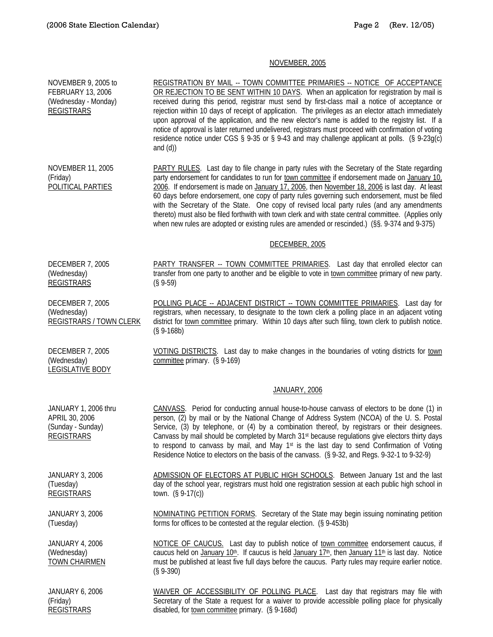## NOVEMBER, 2005

NOVEMBER 9, 2005 to FEBRUARY 13, 2006 (Wednesday - Monday) REGISTRARS REGISTRATION BY MAIL -- TOWN COMMITTEE PRIMARIES -- NOTICE OF ACCEPTANCE OR REJECTION TO BE SENT WITHIN 10 DAYS. When an application for registration by mail is received during this period, registrar must send by first-class mail a notice of acceptance or rejection within 10 days of receipt of application. The privileges as an elector attach immediately upon approval of the application, and the new elector's name is added to the registry list. If a notice of approval is later returned undelivered, registrars must proceed with confirmation of voting residence notice under CGS § 9-35 or § 9-43 and may challenge applicant at polls. (§ 9-23g(c) and (d)) NOVEMBER 11, 2005 (Friday) POLITICAL PARTIES PARTY RULES. Last day to file change in party rules with the Secretary of the State regarding party endorsement for candidates to run for town committee if endorsement made on January 10, 2006. If endorsement is made on January 17, 2006, then November 18, 2006 is last day. At least 60 days before endorsement, one copy of party rules governing such endorsement, must be filed with the Secretary of the State. One copy of revised local party rules (and any amendments thereto) must also be filed forthwith with town clerk and with state central committee. (Applies only when new rules are adopted or existing rules are amended or rescinded.) (§§. 9-374 and 9-375) DECEMBER, 2005 DECEMBER 7, 2005 (Wednesday) REGISTRARS PARTY TRANSFER -- TOWN COMMITTEE PRIMARIES. Last day that enrolled elector can transfer from one party to another and be eligible to vote in town committee primary of new party. (§ 9-59) DECEMBER 7, 2005 (Wednesday) REGISTRARS / TOWN CLERK POLLING PLACE -- ADJACENT DISTRICT -- TOWN COMMITTEE PRIMARIES. Last day for registrars, when necessary, to designate to the town clerk a polling place in an adjacent voting district for town committee primary. Within 10 days after such filing, town clerk to publish notice. (§ 9-168b) DECEMBER 7, 2005 (Wednesday) LEGISLATIVE BODY VOTING DISTRICTS. Last day to make changes in the boundaries of voting districts for town committee primary. (§ 9-169) JANUARY, 2006 JANUARY 1, 2006 thru APRIL 30, 2006 (Sunday - Sunday) REGISTRARS CANVASS. Period for conducting annual house-to-house canvass of electors to be done (1) in person, (2) by mail or by the National Change of Address System (NCOA) of the U. S. Postal Service, (3) by telephone, or (4) by a combination thereof, by registrars or their designees. Canvass by mail should be completed by March 31st because regulations give electors thirty days to respond to canvass by mail, and May  $1<sup>st</sup>$  is the last day to send Confirmation of Voting Residence Notice to electors on the basis of the canvass. (§ 9-32, and Regs. 9-32-1 to 9-32-9) JANUARY 3, 2006 (Tuesday) REGISTRARS ADMISSION OF ELECTORS AT PUBLIC HIGH SCHOOLS. Between January 1st and the last day of the school year, registrars must hold one registration session at each public high school in town. (§ 9-17(c)) JANUARY 3, 2006 (Tuesday) NOMINATING PETITION FORMS. Secretary of the State may begin issuing nominating petition forms for offices to be contested at the regular election. (§ 9-453b) JANUARY 4, 2006 (Wednesday) TOWN CHAIRMEN NOTICE OF CAUCUS. Last day to publish notice of town committee endorsement caucus, if caucus held on January 10<sup>th</sup>. If caucus is held January 17<sup>th</sup>, then January 11<sup>th</sup> is last day. Notice must be published at least five full days before the caucus. Party rules may require earlier notice. (§ 9-390) JANUARY 6, 2006 (Friday) REGISTRARS WAIVER OF ACCESSIBILITY OF POLLING PLACE. Last day that registrars may file with Secretary of the State a request for a waiver to provide accessible polling place for physically disabled, for town committee primary. (§ 9-168d)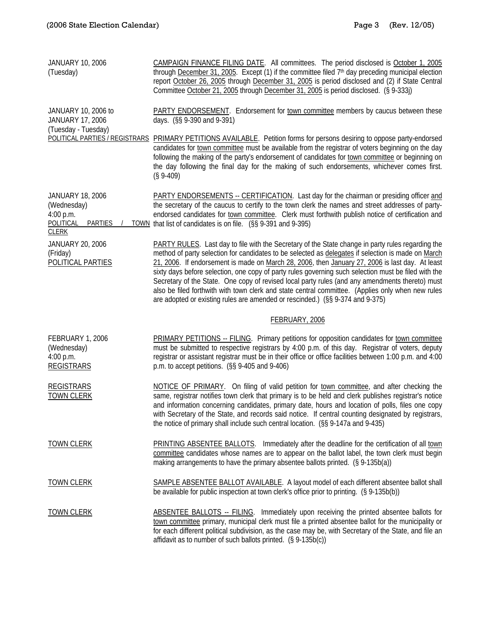| <b>JANUARY 10, 2006</b><br>(Tuesday)                                                                      | CAMPAIGN FINANCE FILING DATE. All committees. The period disclosed is October 1, 2005<br>through December 31, 2005. Except (1) if the committee filed 7 <sup>th</sup> day preceding municipal election<br>report October 26, 2005 through December 31, 2005 is period disclosed and (2) if State Central<br>Committee October 21, 2005 through December 31, 2005 is period disclosed. (§ 9-333j)                                                                                                                                                                                                                                                                                                            |
|-----------------------------------------------------------------------------------------------------------|-------------------------------------------------------------------------------------------------------------------------------------------------------------------------------------------------------------------------------------------------------------------------------------------------------------------------------------------------------------------------------------------------------------------------------------------------------------------------------------------------------------------------------------------------------------------------------------------------------------------------------------------------------------------------------------------------------------|
| JANUARY 10, 2006 to<br><b>JANUARY 17, 2006</b><br>(Tuesday - Tuesday)                                     | <b>PARTY ENDORSEMENT.</b> Endorsement for town committee members by caucus between these<br>days. (§§ 9-390 and 9-391)                                                                                                                                                                                                                                                                                                                                                                                                                                                                                                                                                                                      |
|                                                                                                           | POLITICAL PARTIES / REGISTRARS PRIMARY PETITIONS AVAILABLE. Petition forms for persons desiring to oppose party-endorsed<br>candidates for town committee must be available from the registrar of voters beginning on the day<br>following the making of the party's endorsement of candidates for town committee or beginning on<br>the day following the final day for the making of such endorsements, whichever comes first.<br>$(S 9-409)$                                                                                                                                                                                                                                                             |
| <b>JANUARY 18, 2006</b><br>(Wednesday)<br>4:00 p.m.<br><b>POLITICAL</b><br><b>PARTIES</b><br><b>CLERK</b> | PARTY ENDORSEMENTS -- CERTIFICATION. Last day for the chairman or presiding officer and<br>the secretary of the caucus to certify to the town clerk the names and street addresses of party-<br>endorsed candidates for town committee. Clerk must forthwith publish notice of certification and<br>TOWN that list of candidates is on file. (§§ 9-391 and 9-395)                                                                                                                                                                                                                                                                                                                                           |
| JANUARY 20, 2006<br>(Friday)<br>POLITICAL PARTIES                                                         | PARTY RULES. Last day to file with the Secretary of the State change in party rules regarding the<br>method of party selection for candidates to be selected as delegates if selection is made on March<br>21, 2006. If endorsement is made on March 28, 2006, then January 27, 2006 is last day. At least<br>sixty days before selection, one copy of party rules governing such selection must be filed with the<br>Secretary of the State. One copy of revised local party rules (and any amendments thereto) must<br>also be filed forthwith with town clerk and state central committee. (Applies only when new rules<br>are adopted or existing rules are amended or rescinded.) (§§ 9-374 and 9-375) |
|                                                                                                           | FEBRUARY, 2006                                                                                                                                                                                                                                                                                                                                                                                                                                                                                                                                                                                                                                                                                              |
| FEBRUARY 1, 2006<br>(Wednesday)<br>4:00 p.m.<br><b>REGISTRARS</b>                                         | <b>PRIMARY PETITIONS -- FILING.</b> Primary petitions for opposition candidates for town committee<br>must be submitted to respective registrars by 4:00 p.m. of this day. Registrar of voters, deputy<br>registrar or assistant registrar must be in their office or office facilities between 1:00 p.m. and 4:00<br>p.m. to accept petitions. (§§ 9-405 and 9-406)                                                                                                                                                                                                                                                                                                                                        |
| <b>REGISTRARS</b><br><b>TOWN CLERK</b>                                                                    | NOTICE OF PRIMARY. On filing of valid petition for town committee, and after checking the<br>same, registrar notifies town clerk that primary is to be held and clerk publishes registrar's notice<br>and information concerning candidates, primary date, hours and location of polls, files one copy<br>with Secretary of the State, and records said notice. If central counting designated by registrars,<br>the notice of primary shall include such central location. (§§ 9-147a and 9-435)                                                                                                                                                                                                           |
| <b>TOWN CLERK</b>                                                                                         | <b>PRINTING ABSENTEE BALLOTS.</b> Immediately after the deadline for the certification of all town<br>committee candidates whose names are to appear on the ballot label, the town clerk must begin<br>making arrangements to have the primary absentee ballots printed. (§ 9-135b(a))                                                                                                                                                                                                                                                                                                                                                                                                                      |
| <b>TOWN CLERK</b>                                                                                         | SAMPLE ABSENTEE BALLOT AVAILABLE. A layout model of each different absentee ballot shall<br>be available for public inspection at town clerk's office prior to printing. (§ 9-135b(b))                                                                                                                                                                                                                                                                                                                                                                                                                                                                                                                      |
| <b>TOWN CLERK</b>                                                                                         | ABSENTEE BALLOTS -- FILING. Immediately upon receiving the printed absentee ballots for<br>town committee primary, municipal clerk must file a printed absentee ballot for the municipality or<br>for each different political subdivision, as the case may be, with Secretary of the State, and file an<br>affidavit as to number of such ballots printed. (§ 9-135b(c))                                                                                                                                                                                                                                                                                                                                   |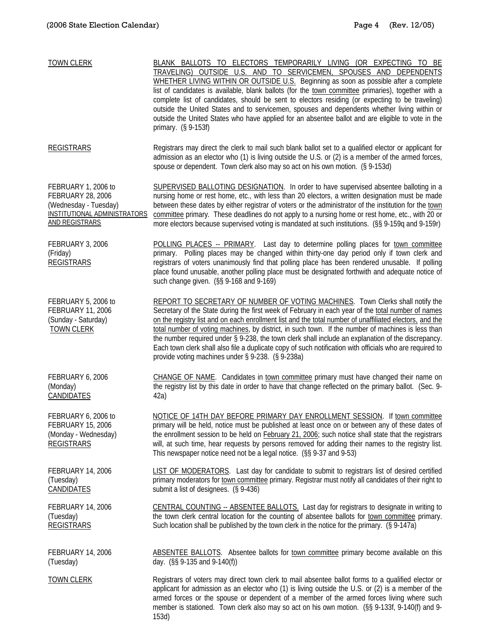| <b>TOWN CLERK</b>                                                                                                                 | BLANK BALLOTS TO ELECTORS TEMPORARILY LIVING (OR EXPECTING TO BE<br>TRAVELING) OUTSIDE U.S. AND TO SERVICEMEN, SPOUSES AND DEPENDENTS<br>WHETHER LIVING WITHIN OR OUTSIDE U.S. Beginning as soon as possible after a complete<br>list of candidates is available, blank ballots (for the town committee primaries), together with a<br>complete list of candidates, should be sent to electors residing (or expecting to be traveling)<br>outside the United States and to servicemen, spouses and dependents whether living within or<br>outside the United States who have applied for an absentee ballot and are eligible to vote in the<br>primary. (§ 9-153f)           |
|-----------------------------------------------------------------------------------------------------------------------------------|------------------------------------------------------------------------------------------------------------------------------------------------------------------------------------------------------------------------------------------------------------------------------------------------------------------------------------------------------------------------------------------------------------------------------------------------------------------------------------------------------------------------------------------------------------------------------------------------------------------------------------------------------------------------------|
| <b>REGISTRARS</b>                                                                                                                 | Registrars may direct the clerk to mail such blank ballot set to a qualified elector or applicant for<br>admission as an elector who (1) is living outside the U.S. or (2) is a member of the armed forces,<br>spouse or dependent. Town clerk also may so act on his own motion. (§ 9-153d)                                                                                                                                                                                                                                                                                                                                                                                 |
| FEBRUARY 1, 2006 to<br><b>FEBRUARY 28, 2006</b><br>(Wednesday - Tuesday)<br>INSTITUTIONAL ADMINISTRATORS<br><b>AND REGISTRARS</b> | SUPERVISED BALLOTING DESIGNATION. In order to have supervised absentee balloting in a<br>nursing home or rest home, etc., with less than 20 electors, a written designation must be made<br>between these dates by either registrar of voters or the administrator of the institution for the town<br>committee primary. These deadlines do not apply to a nursing home or rest home, etc., with 20 or<br>more electors because supervised voting is mandated at such institutions. (§§ 9-159q and 9-159r)                                                                                                                                                                   |
| FEBRUARY 3, 2006<br>(Friday)<br><b>REGISTRARS</b>                                                                                 | POLLING PLACES -- PRIMARY. Last day to determine polling places for town committee<br>primary. Polling places may be changed within thirty-one day period only if town clerk and<br>registrars of voters unanimously find that polling place has been rendered unusable. If polling<br>place found unusable, another polling place must be designated forthwith and adequate notice of<br>such change given. (§§ 9-168 and 9-169)                                                                                                                                                                                                                                            |
| FEBRUARY 5, 2006 to<br><b>FEBRUARY 11, 2006</b><br>(Sunday - Saturday)<br><b>TOWN CLERK</b>                                       | REPORT TO SECRETARY OF NUMBER OF VOTING MACHINES. Town Clerks shall notify the<br>Secretary of the State during the first week of February in each year of the total number of names<br>on the registry list and on each enrollment list and the total number of unaffiliated electors, and the<br>total number of voting machines, by district, in such town. If the number of machines is less than<br>the number required under § 9-238, the town clerk shall include an explanation of the discrepancy.<br>Each town clerk shall also file a duplicate copy of such notification with officials who are required to<br>provide voting machines under § 9-238. (§ 9-238a) |
| FEBRUARY 6, 2006<br>(Monday)<br><b>CANDIDATES</b>                                                                                 | CHANGE OF NAME. Candidates in town committee primary must have changed their name on<br>the registry list by this date in order to have that change reflected on the primary ballot. (Sec. 9-<br>42a)                                                                                                                                                                                                                                                                                                                                                                                                                                                                        |
| FEBRUARY 6, 2006 to<br><b>FEBRUARY 15, 2006</b><br>(Monday - Wednesday)<br><b>REGISTRARS</b>                                      | NOTICE OF 14TH DAY BEFORE PRIMARY DAY ENROLLMENT SESSION. If town committee<br>primary will be held, notice must be published at least once on or between any of these dates of<br>the enrollment session to be held on February 21, 2006; such notice shall state that the registrars<br>will, at such time, hear requests by persons removed for adding their names to the registry list.<br>This newspaper notice need not be a legal notice. (§§ 9-37 and 9-53)                                                                                                                                                                                                          |
| FEBRUARY 14, 2006<br>(Tuesday)<br>CANDIDATES                                                                                      | LIST OF MODERATORS. Last day for candidate to submit to registrars list of desired certified<br>primary moderators for town committee primary. Registrar must notify all candidates of their right to<br>submit a list of designees. (§ 9-436)                                                                                                                                                                                                                                                                                                                                                                                                                               |
| FEBRUARY 14, 2006<br>(Tuesday)<br><b>REGISTRARS</b>                                                                               | CENTRAL COUNTING -- ABSENTEE BALLOTS. Last day for registrars to designate in writing to<br>the town clerk central location for the counting of absentee ballots for town committee primary.<br>Such location shall be published by the town clerk in the notice for the primary. (§ 9-147a)                                                                                                                                                                                                                                                                                                                                                                                 |
| FEBRUARY 14, 2006<br>(Tuesday)                                                                                                    | ABSENTEE BALLOTS. Absentee ballots for town committee primary become available on this<br>day. (§§ 9-135 and 9-140(f))                                                                                                                                                                                                                                                                                                                                                                                                                                                                                                                                                       |
| <b>TOWN CLERK</b>                                                                                                                 | Registrars of voters may direct town clerk to mail absentee ballot forms to a qualified elector or<br>applicant for admission as an elector who (1) is living outside the U.S. or (2) is a member of the<br>armed forces or the spouse or dependent of a member of the armed forces living where such<br>member is stationed. Town clerk also may so act on his own motion. (§§ 9-133f, 9-140(f) and 9-<br>153d)                                                                                                                                                                                                                                                             |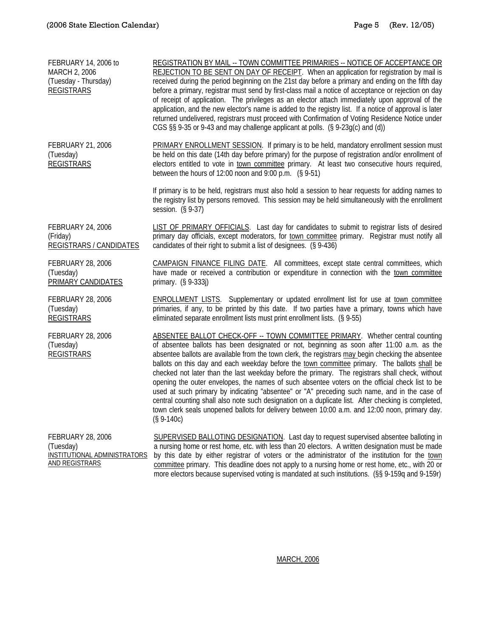| FEBRUARY 14, 2006 to<br>MARCH 2, 2006<br>(Tuesday - Thursday)<br><b>REGISTRARS</b>      | REGISTRATION BY MAIL -- TOWN COMMITTEE PRIMARIES -- NOTICE OF ACCEPTANCE OR<br>REJECTION TO BE SENT ON DAY OF RECEIPT. When an application for registration by mail is<br>received during the period beginning on the 21st day before a primary and ending on the fifth day<br>before a primary, registrar must send by first-class mail a notice of acceptance or rejection on day<br>of receipt of application. The privileges as an elector attach immediately upon approval of the<br>application, and the new elector's name is added to the registry list. If a notice of approval is later<br>returned undelivered, registrars must proceed with Confirmation of Voting Residence Notice under<br>CGS §§ 9-35 or 9-43 and may challenge applicant at polls. (§ 9-23g(c) and (d))                                                                                                                         |
|-----------------------------------------------------------------------------------------|-----------------------------------------------------------------------------------------------------------------------------------------------------------------------------------------------------------------------------------------------------------------------------------------------------------------------------------------------------------------------------------------------------------------------------------------------------------------------------------------------------------------------------------------------------------------------------------------------------------------------------------------------------------------------------------------------------------------------------------------------------------------------------------------------------------------------------------------------------------------------------------------------------------------|
| FEBRUARY 21, 2006<br>(Tuesday)<br><b>REGISTRARS</b>                                     | PRIMARY ENROLLMENT SESSION. If primary is to be held, mandatory enrollment session must<br>be held on this date (14th day before primary) for the purpose of registration and/or enrollment of<br>electors entitled to vote in town committee primary. At least two consecutive hours required,<br>between the hours of 12:00 noon and 9:00 p.m. $(S 9-51)$                                                                                                                                                                                                                                                                                                                                                                                                                                                                                                                                                     |
|                                                                                         | If primary is to be held, registrars must also hold a session to hear requests for adding names to<br>the registry list by persons removed. This session may be held simultaneously with the enrollment<br>session. $(S 9-37)$                                                                                                                                                                                                                                                                                                                                                                                                                                                                                                                                                                                                                                                                                  |
| <b>FEBRUARY 24, 2006</b><br>(Friday)<br>REGISTRARS / CANDIDATES                         | LIST OF PRIMARY OFFICIALS. Last day for candidates to submit to registrar lists of desired<br>primary day officials, except moderators, for town committee primary. Registrar must notify all<br>candidates of their right to submit a list of designees. (§ 9-436)                                                                                                                                                                                                                                                                                                                                                                                                                                                                                                                                                                                                                                             |
| FEBRUARY 28, 2006<br>(Tuesday)<br>PRIMARY CANDIDATES                                    | CAMPAIGN FINANCE FILING DATE. All committees, except state central committees, which<br>have made or received a contribution or expenditure in connection with the town committee<br>primary. (§ 9-333j)                                                                                                                                                                                                                                                                                                                                                                                                                                                                                                                                                                                                                                                                                                        |
| FEBRUARY 28, 2006<br>(Tuesday)<br><b>REGISTRARS</b>                                     | <b>ENROLLMENT LISTS.</b> Supplementary or updated enrollment list for use at town committee<br>primaries, if any, to be printed by this date. If two parties have a primary, towns which have<br>eliminated separate enrollment lists must print enrollment lists. (§ 9-55)                                                                                                                                                                                                                                                                                                                                                                                                                                                                                                                                                                                                                                     |
| FEBRUARY 28, 2006<br>(Tuesday)<br><b>REGISTRARS</b>                                     | ABSENTEE BALLOT CHECK-OFF -- TOWN COMMITTEE PRIMARY. Whether central counting<br>of absentee ballots has been designated or not, beginning as soon after 11:00 a.m. as the<br>absentee ballots are available from the town clerk, the registrars may begin checking the absentee<br>ballots on this day and each weekday before the town committee primary. The ballots shall be<br>checked not later than the last weekday before the primary. The registrars shall check, without<br>opening the outer envelopes, the names of such absentee voters on the official check list to be<br>used at such primary by indicating "absentee" or "A" preceding such name, and in the case of<br>central counting shall also note such designation on a duplicate list. After checking is completed,<br>town clerk seals unopened ballots for delivery between 10:00 a.m. and 12:00 noon, primary day.<br>$(S 9-140c)$ |
| FEBRUARY 28, 2006<br>(Tuesday)<br>INSTITUTIONAL ADMINISTRATORS<br><b>AND REGISTRARS</b> | SUPERVISED BALLOTING DESIGNATION. Last day to request supervised absentee balloting in<br>a nursing home or rest home, etc. with less than 20 electors. A written designation must be made<br>by this date by either registrar of voters or the administrator of the institution for the town<br>committee primary. This deadline does not apply to a nursing home or rest home, etc., with 20 or<br>more electors because supervised voting is mandated at such institutions. (§§ 9-159q and 9-159r)                                                                                                                                                                                                                                                                                                                                                                                                           |

MARCH, 2006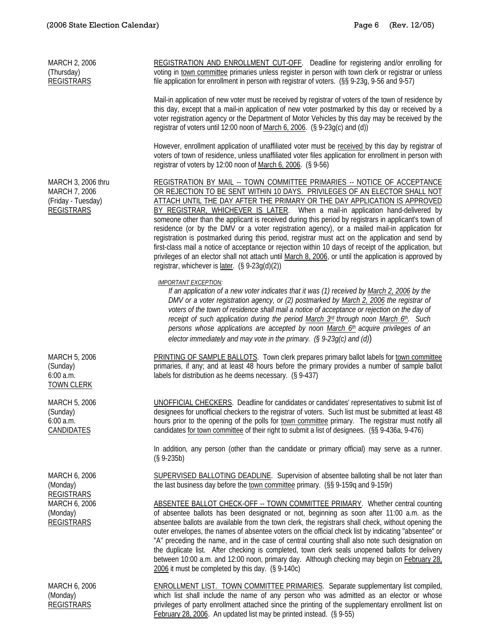| MARCH 2, 2006<br>(Thursday)<br><b>REGISTRARS</b>                               | REGISTRATION AND ENROLLMENT CUT-OFF. Deadline for registering and/or enrolling for<br>voting in town committee primaries unless register in person with town clerk or registrar or unless<br>file application for enrollment in person with registrar of voters. (§§ 9-23g, 9-56 and 9-57)                                                                                                                                                                                                                                                                                                                                                                                                                                                                                                                                                                                                                 |
|--------------------------------------------------------------------------------|------------------------------------------------------------------------------------------------------------------------------------------------------------------------------------------------------------------------------------------------------------------------------------------------------------------------------------------------------------------------------------------------------------------------------------------------------------------------------------------------------------------------------------------------------------------------------------------------------------------------------------------------------------------------------------------------------------------------------------------------------------------------------------------------------------------------------------------------------------------------------------------------------------|
|                                                                                | Mail-in application of new voter must be received by registrar of voters of the town of residence by<br>this day, except that a mail-in application of new voter postmarked by this day or received by a<br>voter registration agency or the Department of Motor Vehicles by this day may be received by the<br>registrar of voters until 12:00 noon of March 6, 2006. (§ 9-23g(c) and (d))                                                                                                                                                                                                                                                                                                                                                                                                                                                                                                                |
|                                                                                | However, enrollment application of unaffiliated voter must be received by this day by registrar of<br>voters of town of residence, unless unaffiliated voter files application for enrollment in person with<br>registrar of voters by 12:00 noon of March 6, 2006. (§ 9-56)                                                                                                                                                                                                                                                                                                                                                                                                                                                                                                                                                                                                                               |
| MARCH 3, 2006 thru<br>MARCH 7, 2006<br>(Friday - Tuesday)<br><b>REGISTRARS</b> | REGISTRATION BY MAIL -- TOWN COMMITTEE PRIMARIES -- NOTICE OF ACCEPTANCE<br>OR REJECTION TO BE SENT WITHIN 10 DAYS. PRIVILEGES OF AN ELECTOR SHALL NOT<br>ATTACH UNTIL THE DAY AFTER THE PRIMARY OR THE DAY APPLICATION IS APPROVED<br>BY REGISTRAR, WHICHEVER IS LATER. When a mail-in application hand-delivered by<br>someone other than the applicant is received during this period by registrars in applicant's town of<br>residence (or by the DMV or a voter registration agency), or a mailed mail-in application for<br>registration is postmarked during this period, registrar must act on the application and send by<br>first-class mail a notice of acceptance or rejection within 10 days of receipt of the application, but<br>privileges of an elector shall not attach until March 8, 2006, or until the application is approved by<br>registrar, whichever is $later.$ (§ 9-23g(d)(2)) |
|                                                                                | <b>IMPORTANT EXCEPTION:</b><br>If an application of a new voter indicates that it was (1) received by March 2, 2006 by the<br>DMV or a voter registration agency, or (2) postmarked by March 2, 2006 the registrar of<br>voters of the town of residence shall mail a notice of acceptance or rejection on the day of<br>receipt of such application during the period March 3 <sup>rd</sup> through noon March 6 <sup>th</sup> . Such<br>persons whose applications are accepted by noon March 6th acquire privileges of an<br>elector immediately and may vote in the primary. $(§ 9-23g(c)$ and $(d))$                                                                                                                                                                                                                                                                                                  |
| MARCH 5, 2006<br>(Sunday)<br>6:00 a.m.<br><b>TOWN CLERK</b>                    | PRINTING OF SAMPLE BALLOTS. Town clerk prepares primary ballot labels for town committee<br>primaries, if any; and at least 48 hours before the primary provides a number of sample ballot<br>labels for distribution as he deems necessary. (§ 9-437)                                                                                                                                                                                                                                                                                                                                                                                                                                                                                                                                                                                                                                                     |
| MARCH 5, 2006<br>(Sunday)<br>6:00 a.m.<br><b>CANDIDATES</b>                    | UNOFFICIAL CHECKERS. Deadline for candidates or candidates' representatives to submit list of<br>designees for unofficial checkers to the registrar of voters. Such list must be submitted at least 48<br>hours prior to the opening of the polls for town committee primary. The registrar must notify all<br>candidates for town committee of their right to submit a list of designees. (§§ 9-436a, 9-476)                                                                                                                                                                                                                                                                                                                                                                                                                                                                                              |
|                                                                                | In addition, any person (other than the candidate or primary official) may serve as a runner.<br>$(S 9-235b)$                                                                                                                                                                                                                                                                                                                                                                                                                                                                                                                                                                                                                                                                                                                                                                                              |
| MARCH 6, 2006<br>(Monday)<br><b>REGISTRARS</b>                                 | SUPERVISED BALLOTING DEADLINE. Supervision of absentee balloting shall be not later than<br>the last business day before the town committee primary. (§§ 9-159q and 9-159r)                                                                                                                                                                                                                                                                                                                                                                                                                                                                                                                                                                                                                                                                                                                                |
| MARCH 6, 2006<br>(Monday)<br><b>REGISTRARS</b>                                 | ABSENTEE BALLOT CHECK-OFF -- TOWN COMMITTEE PRIMARY. Whether central counting<br>of absentee ballots has been designated or not, beginning as soon after 11:00 a.m. as the<br>absentee ballots are available from the town clerk, the registrars shall check, without opening the<br>outer envelopes, the names of absentee voters on the official check list by indicating "absentee" or<br>"A" preceding the name, and in the case of central counting shall also note such designation on<br>the duplicate list. After checking is completed, town clerk seals unopened ballots for delivery<br>between 10:00 a.m. and 12:00 noon, primary day. Although checking may begin on February 28,<br>2006 it must be completed by this day. (§ 9-140c)                                                                                                                                                        |
| MARCH 6, 2006<br>(Monday)<br><b>REGISTRARS</b>                                 | <b>ENROLLMENT LIST. TOWN COMMITTEE PRIMARIES.</b> Separate supplementary list compiled,<br>which list shall include the name of any person who was admitted as an elector or whose<br>privileges of party enrollment attached since the printing of the supplementary enrollment list on<br>February 28, 2006. An updated list may be printed instead. (§ 9-55)                                                                                                                                                                                                                                                                                                                                                                                                                                                                                                                                            |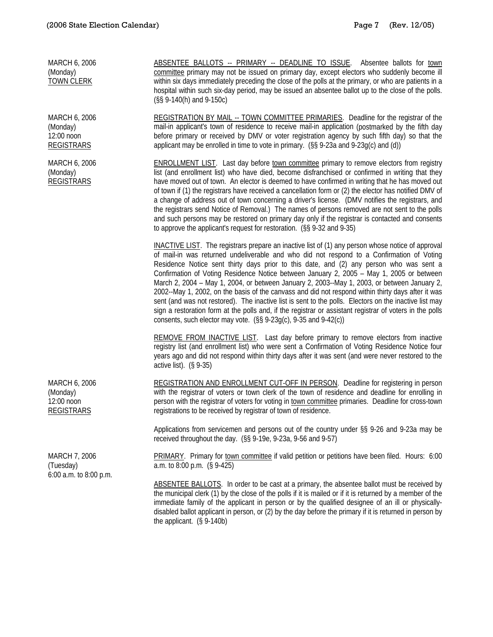| MARCH 6, 2006<br>(Monday)<br><b>TOWN CLERK</b>               | ABSENTEE BALLOTS -- PRIMARY -- DEADLINE TO ISSUE. Absentee ballots for town<br>committee primary may not be issued on primary day, except electors who suddenly become ill<br>within six days immediately preceding the close of the polls at the primary, or who are patients in a<br>hospital within such six-day period, may be issued an absentee ballot up to the close of the polls.<br>(§§ 9-140(h) and 9-150c)                                                                                                                                                                                                                                                                                                                                                                                                                                                               |
|--------------------------------------------------------------|--------------------------------------------------------------------------------------------------------------------------------------------------------------------------------------------------------------------------------------------------------------------------------------------------------------------------------------------------------------------------------------------------------------------------------------------------------------------------------------------------------------------------------------------------------------------------------------------------------------------------------------------------------------------------------------------------------------------------------------------------------------------------------------------------------------------------------------------------------------------------------------|
| MARCH 6, 2006<br>(Monday)<br>12:00 noon<br><b>REGISTRARS</b> | REGISTRATION BY MAIL -- TOWN COMMITTEE PRIMARIES. Deadline for the registrar of the<br>mail-in applicant's town of residence to receive mail-in application (postmarked by the fifth day<br>before primary or received by DMV or voter registration agency by such fifth day) so that the<br>applicant may be enrolled in time to vote in primary. (§§ 9-23a and 9-23g(c) and (d))                                                                                                                                                                                                                                                                                                                                                                                                                                                                                                   |
| MARCH 6, 2006<br>(Monday)<br><b>REGISTRARS</b>               | <b>ENROLLMENT LIST.</b> Last day before town committee primary to remove electors from registry<br>list (and enrollment list) who have died, become disfranchised or confirmed in writing that they<br>have moved out of town. An elector is deemed to have confirmed in writing that he has moved out<br>of town if (1) the registrars have received a cancellation form or (2) the elector has notified DMV of<br>a change of address out of town concerning a driver's license. (DMV notifies the registrars, and<br>the registrars send Notice of Removal.) The names of persons removed are not sent to the polls<br>and such persons may be restored on primary day only if the registrar is contacted and consents<br>to approve the applicant's request for restoration. (§§ 9-32 and 9-35)                                                                                  |
|                                                              | INACTIVE LIST. The registrars prepare an inactive list of (1) any person whose notice of approval<br>of mail-in was returned undeliverable and who did not respond to a Confirmation of Voting<br>Residence Notice sent thirty days prior to this date, and (2) any person who was sent a<br>Confirmation of Voting Residence Notice between January 2, 2005 - May 1, 2005 or between<br>March 2, 2004 - May 1, 2004, or between January 2, 2003--May 1, 2003, or between January 2,<br>2002--May 1, 2002, on the basis of the canvass and did not respond within thirty days after it was<br>sent (and was not restored). The inactive list is sent to the polls. Electors on the inactive list may<br>sign a restoration form at the polls and, if the registrar or assistant registrar of voters in the polls<br>consents, such elector may vote. (§§ 9-23g(c), 9-35 and 9-42(c)) |
|                                                              | REMOVE FROM INACTIVE LIST. Last day before primary to remove electors from inactive<br>registry list (and enrollment list) who were sent a Confirmation of Voting Residence Notice four<br>years ago and did not respond within thirty days after it was sent (and were never restored to the<br>active list). (§ 9-35)                                                                                                                                                                                                                                                                                                                                                                                                                                                                                                                                                              |
| MARCH 6, 2006<br>(Monday)<br>12:00 noon<br><b>REGISTRARS</b> | REGISTRATION AND ENROLLMENT CUT-OFF IN PERSON. Deadline for registering in person<br>with the registrar of voters or town clerk of the town of residence and deadline for enrolling in<br>person with the registrar of voters for voting in town committee primaries. Deadline for cross-town<br>registrations to be received by registrar of town of residence.                                                                                                                                                                                                                                                                                                                                                                                                                                                                                                                     |
|                                                              | Applications from servicemen and persons out of the country under §§ 9-26 and 9-23a may be<br>received throughout the day. (§§ 9-19e, 9-23a, 9-56 and 9-57)                                                                                                                                                                                                                                                                                                                                                                                                                                                                                                                                                                                                                                                                                                                          |
| MARCH 7, 2006<br>(Tuesday)<br>6:00 a.m. to 8:00 p.m.         | PRIMARY. Primary for town committee if valid petition or petitions have been filed. Hours: 6:00<br>a.m. to $8:00$ p.m. $(S\ 9-425)$                                                                                                                                                                                                                                                                                                                                                                                                                                                                                                                                                                                                                                                                                                                                                  |
|                                                              | ABSENTEE BALLOTS. In order to be cast at a primary, the absentee ballot must be received by<br>the municipal clerk (1) by the close of the polls if it is mailed or if it is returned by a member of the<br>immediate family of the applicant in person or by the qualified designee of an ill or physically-<br>disabled ballot applicant in person, or (2) by the day before the primary if it is returned in person by<br>the applicant. $(S 9-140b)$                                                                                                                                                                                                                                                                                                                                                                                                                             |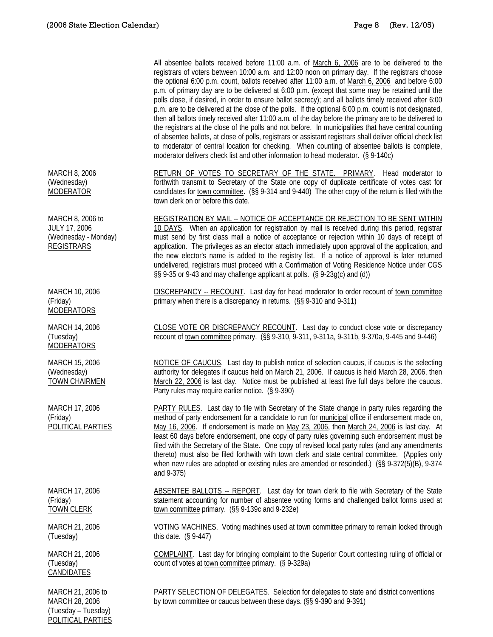(Tuesday – Tuesday) POLITICAL PARTIES

|                                                                                       | All absentee ballots received before 11:00 a.m. of March 6, 2006 are to be delivered to the<br>registrars of voters between 10:00 a.m. and 12:00 noon on primary day. If the registrars choose<br>the optional 6:00 p.m. count, ballots received after 11:00 a.m. of March 6, 2006 and before 6:00<br>p.m. of primary day are to be delivered at 6:00 p.m. (except that some may be retained until the<br>polls close, if desired, in order to ensure ballot secrecy); and all ballots timely received after 6:00<br>p.m. are to be delivered at the close of the polls. If the optional 6:00 p.m. count is not designated,<br>then all ballots timely received after 11:00 a.m. of the day before the primary are to be delivered to<br>the registrars at the close of the polls and not before. In municipalities that have central counting<br>of absentee ballots, at close of polls, registrars or assistant registrars shall deliver official check list<br>to moderator of central location for checking. When counting of absentee ballots is complete,<br>moderator delivers check list and other information to head moderator. (§ 9-140c) |
|---------------------------------------------------------------------------------------|------------------------------------------------------------------------------------------------------------------------------------------------------------------------------------------------------------------------------------------------------------------------------------------------------------------------------------------------------------------------------------------------------------------------------------------------------------------------------------------------------------------------------------------------------------------------------------------------------------------------------------------------------------------------------------------------------------------------------------------------------------------------------------------------------------------------------------------------------------------------------------------------------------------------------------------------------------------------------------------------------------------------------------------------------------------------------------------------------------------------------------------------------|
| MARCH 8, 2006<br>(Wednesday)<br><b>MODERATOR</b>                                      | RETURN OF VOTES TO SECRETARY OF THE STATE. PRIMARY. Head moderator to<br>forthwith transmit to Secretary of the State one copy of duplicate certificate of votes cast for<br>candidates for town committee. (§§ 9-314 and 9-440) The other copy of the return is filed with the<br>town clerk on or before this date.                                                                                                                                                                                                                                                                                                                                                                                                                                                                                                                                                                                                                                                                                                                                                                                                                                |
| MARCH 8, 2006 to<br><b>JULY 17, 2006</b><br>(Wednesday - Monday)<br><b>REGISTRARS</b> | REGISTRATION BY MAIL -- NOTICE OF ACCEPTANCE OR REJECTION TO BE SENT WITHIN<br>10 DAYS. When an application for registration by mail is received during this period, registrar<br>must send by first class mail a notice of acceptance or rejection within 10 days of receipt of<br>application. The privileges as an elector attach immediately upon approval of the application, and<br>the new elector's name is added to the registry list. If a notice of approval is later returned<br>undelivered, registrars must proceed with a Confirmation of Voting Residence Notice under CGS<br>§§ 9-35 or 9-43 and may challenge applicant at polls. (§ 9-23g(c) and (d))                                                                                                                                                                                                                                                                                                                                                                                                                                                                             |
| MARCH 10, 2006<br>(Friday)<br><b>MODERATORS</b>                                       | DISCREPANCY -- RECOUNT. Last day for head moderator to order recount of town committee<br>primary when there is a discrepancy in returns. (§§ 9-310 and 9-311)                                                                                                                                                                                                                                                                                                                                                                                                                                                                                                                                                                                                                                                                                                                                                                                                                                                                                                                                                                                       |
| MARCH 14, 2006<br>(Tuesday)<br><b>MODERATORS</b>                                      | CLOSE VOTE OR DISCREPANCY RECOUNT. Last day to conduct close vote or discrepancy<br>recount of town committee primary. (§§ 9-310, 9-311, 9-311a, 9-311b, 9-370a, 9-445 and 9-446)                                                                                                                                                                                                                                                                                                                                                                                                                                                                                                                                                                                                                                                                                                                                                                                                                                                                                                                                                                    |
| MARCH 15, 2006<br>(Wednesday)<br><b>TOWN CHAIRMEN</b>                                 | NOTICE OF CAUCUS. Last day to publish notice of selection caucus, if caucus is the selecting<br>authority for delegates if caucus held on March 21, 2006. If caucus is held March 28, 2006, then<br>March 22, 2006 is last day. Notice must be published at least five full days before the caucus.<br>Party rules may require earlier notice. (§ 9-390)                                                                                                                                                                                                                                                                                                                                                                                                                                                                                                                                                                                                                                                                                                                                                                                             |
| MARCH 17, 2006<br>(Friday)<br>POLITICAL PARTIES                                       | PARTY RULES. Last day to file with Secretary of the State change in party rules regarding the<br>method of party endorsement for a candidate to run for municipal office if endorsement made on,<br>May 16, 2006. If endorsement is made on May 23, 2006, then March 24, 2006 is last day. At<br>least 60 days before endorsement, one copy of party rules governing such endorsement must be<br>filed with the Secretary of the State. One copy of revised local party rules (and any amendments<br>thereto) must also be filed forthwith with town clerk and state central committee. (Applies only<br>when new rules are adopted or existing rules are amended or rescinded.) (§§ 9-372(5)(B), 9-374<br>and 9-375)                                                                                                                                                                                                                                                                                                                                                                                                                                |
| MARCH 17, 2006<br>(Friday)<br><b>TOWN CLERK</b>                                       | ABSENTEE BALLOTS -- REPORT. Last day for town clerk to file with Secretary of the State<br>statement accounting for number of absentee voting forms and challenged ballot forms used at<br>town committee primary. (§§ 9-139c and 9-232e)                                                                                                                                                                                                                                                                                                                                                                                                                                                                                                                                                                                                                                                                                                                                                                                                                                                                                                            |
| MARCH 21, 2006<br>(Tuesday)                                                           | VOTING MACHINES. Voting machines used at town committee primary to remain locked through<br>this date. $(S\ 9-447)$                                                                                                                                                                                                                                                                                                                                                                                                                                                                                                                                                                                                                                                                                                                                                                                                                                                                                                                                                                                                                                  |
| MARCH 21, 2006<br>(Tuesday)<br><b>CANDIDATES</b>                                      | COMPLAINT. Last day for bringing complaint to the Superior Court contesting ruling of official or<br>count of votes at town committee primary. (§ 9-329a)                                                                                                                                                                                                                                                                                                                                                                                                                                                                                                                                                                                                                                                                                                                                                                                                                                                                                                                                                                                            |
| MARCH 21, 2006 to<br>MARCH 28, 2006                                                   | <b>PARTY SELECTION OF DELEGATES.</b> Selection for delegates to state and district conventions<br>by town committee or caucus between these days. (§§ 9-390 and 9-391)                                                                                                                                                                                                                                                                                                                                                                                                                                                                                                                                                                                                                                                                                                                                                                                                                                                                                                                                                                               |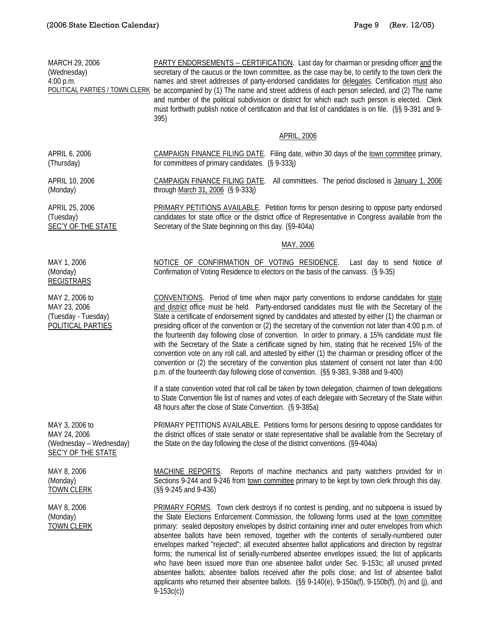| MARCH 29, 2006<br>(Wednesday)<br>4:00 p.m.                                      | PARTY ENDORSEMENTS -- CERTIFICATION. Last day for chairman or presiding officer and the<br>secretary of the caucus or the town committee, as the case may be, to certify to the town clerk the<br>names and street addresses of party-endorsed candidates for delegates. Certification must also<br>POLITICAL PARTIES / TOWN CLERK be accompanied by (1) The name and street address of each person selected, and (2) The name<br>and number of the political subdivision or district for which each such person is elected. Clerk<br>must forthwith publish notice of certification and that list of candidates is on file. (§§ 9-391 and 9-<br>395)                                                                                                                                                                                                                                                                    |
|---------------------------------------------------------------------------------|--------------------------------------------------------------------------------------------------------------------------------------------------------------------------------------------------------------------------------------------------------------------------------------------------------------------------------------------------------------------------------------------------------------------------------------------------------------------------------------------------------------------------------------------------------------------------------------------------------------------------------------------------------------------------------------------------------------------------------------------------------------------------------------------------------------------------------------------------------------------------------------------------------------------------|
|                                                                                 | <b>APRIL, 2006</b>                                                                                                                                                                                                                                                                                                                                                                                                                                                                                                                                                                                                                                                                                                                                                                                                                                                                                                       |
| APRIL 6, 2006<br>(Thursday)                                                     | CAMPAIGN FINANCE FILING DATE. Filing date, within 30 days of the town committee primary,<br>for committees of primary candidates. (§ 9-333j)                                                                                                                                                                                                                                                                                                                                                                                                                                                                                                                                                                                                                                                                                                                                                                             |
| APRIL 10, 2006<br>(Monday)                                                      | CAMPAIGN FINANCE FILING DATE. All committees. The period disclosed is January 1, 2006<br>through March 31, 2006 (§ 9-333j)                                                                                                                                                                                                                                                                                                                                                                                                                                                                                                                                                                                                                                                                                                                                                                                               |
| APRIL 25, 2006<br>(Tuesday)<br>SEC'Y OF THE STATE                               | <b>PRIMARY PETITIONS AVAILABLE.</b> Petition forms for person desiring to oppose party endorsed<br>candidates for state office or the district office of Representative in Congress available from the<br>Secretary of the State beginning on this day. (§9-404a)                                                                                                                                                                                                                                                                                                                                                                                                                                                                                                                                                                                                                                                        |
|                                                                                 | MAY, 2006                                                                                                                                                                                                                                                                                                                                                                                                                                                                                                                                                                                                                                                                                                                                                                                                                                                                                                                |
| MAY 1, 2006<br>(Monday)<br><b>REGISTRARS</b>                                    | NOTICE OF CONFIRMATION OF VOTING RESIDENCE. Last day to send Notice of<br>Confirmation of Voting Residence to electors on the basis of the canvass. (§ 9-35)                                                                                                                                                                                                                                                                                                                                                                                                                                                                                                                                                                                                                                                                                                                                                             |
| MAY 2, 2006 to<br>MAY 23, 2006<br>(Tuesday - Tuesday)<br>POLITICAL PARTIES      | CONVENTIONS. Period of time when major party conventions to endorse candidates for state<br>and district office must be held. Party-endorsed candidates must file with the Secretary of the<br>State a certificate of endorsement signed by candidates and attested by either (1) the chairman or<br>presiding officer of the convention or (2) the secretary of the convention not later than 4:00 p.m. of<br>the fourteenth day following close of convention. In order to primary, a 15% candidate must file<br>with the Secretary of the State a certificate signed by him, stating that he received 15% of the<br>convention vote on any roll call, and attested by either (1) the chairman or presiding officer of the<br>convention or (2) the secretary of the convention plus statement of consent not later than 4:00<br>p.m. of the fourteenth day following close of convention. (§§ 9-383, 9-388 and 9-400) |
|                                                                                 | If a state convention voted that roll call be taken by town delegation, chairmen of town delegations<br>to State Convention file list of names and votes of each delegate with Secretary of the State within<br>48 hours after the close of State Convention. (§ 9-385a)                                                                                                                                                                                                                                                                                                                                                                                                                                                                                                                                                                                                                                                 |
| MAY 3, 2006 to<br>MAY 24, 2006<br>(Wednesday - Wednesday)<br>SEC'Y OF THE STATE | PRIMARY PETITIONS AVAILABLE. Petitions forms for persons desiring to oppose candidates for<br>the district offices of state senator or state representative shall be available from the Secretary of<br>the State on the day following the close of the district conventions. (§9-404a)                                                                                                                                                                                                                                                                                                                                                                                                                                                                                                                                                                                                                                  |
| MAY 8, 2006<br>(Monday)<br><b>TOWN CLERK</b>                                    | MACHINE REPORTS.<br>Reports of machine mechanics and party watchers provided for in<br>Sections 9-244 and 9-246 from town committee primary to be kept by town clerk through this day.<br>(§§ 9-245 and 9-436)                                                                                                                                                                                                                                                                                                                                                                                                                                                                                                                                                                                                                                                                                                           |
| MAY 8, 2006<br>(Monday)<br><b>TOWN CLERK</b>                                    | PRIMARY FORMS. Town clerk destroys if no contest is pending, and no subpoena is issued by<br>the State Elections Enforcement Commission, the following forms used at the town committee<br>primary: sealed depository envelopes by district containing inner and outer envelopes from which<br>absentee ballots have been removed, together with the contents of serially-numbered outer<br>envelopes marked "rejected"; all executed absentee ballot applications and direction by registrar<br>forms; the numerical list of serially-numbered absentee envelopes issued; the list of applicants<br>who have been issued more than one absentee ballot under Sec. 9-153c; all unused printed<br>absentee ballots; absentee ballots received after the polls close; and list of absentee ballot                                                                                                                          |

9-153c(c))

applicants who returned their absentee ballots. (§§ 9-140(e), 9-150a(f), 9-150b(f), (h) and (j), and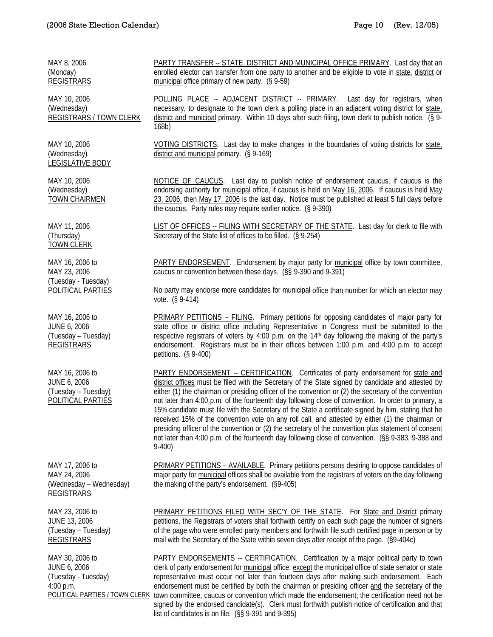REGISTRARS

MAY 30, 2006 to JUNE 6, 2006 (Tuesday - Tuesday)

4:00 p.m.

MAY 8, 2006 (Monday) **REGISTRARS** PARTY TRANSFER -- STATE, DISTRICT AND MUNICIPAL OFFICE PRIMARY. Last day that an enrolled elector can transfer from one party to another and be eligible to vote in state, district or municipal office primary of new party. (§ 9-59) MAY 10, 2006 (Wednesday) REGISTRARS / TOWN CLERK POLLING PLACE -- ADJACENT DISTRICT -- PRIMARY. Last day for registrars, when necessary, to designate to the town clerk a polling place in an adjacent voting district for state, district and municipal primary. Within 10 days after such filing, town clerk to publish notice. (§ 9- 168b) MAY 10, 2006 (Wednesday) LEGISLATIVE BODY VOTING DISTRICTS. Last day to make changes in the boundaries of voting districts for state, district and municipal primary. (§ 9-169) MAY 10, 2006 (Wednesday) TOWN CHAIRMEN NOTICE OF CAUCUS. Last day to publish notice of endorsement caucus, if caucus is the endorsing authority for municipal office, if caucus is held on May 16, 2006. If caucus is held May 23, 2006, then May 17, 2006 is the last day. Notice must be published at least 5 full days before the caucus. Party rules may require earlier notice. (§ 9-390) MAY 11, 2006 (Thursday) TOWN CLERK LIST OF OFFICES -- FILING WITH SECRETARY OF THE STATE. Last day for clerk to file with Secretary of the State list of offices to be filled. (§ 9-254) MAY 16, 2006 to MAY 23, 2006 (Tuesday - Tuesday) POLITICAL PARTIES PARTY ENDORSEMENT. Endorsement by major party for municipal office by town committee, caucus or convention between these days. (§§ 9-390 and 9-391) No party may endorse more candidates for municipal office than number for which an elector may vote. (§ 9-414) MAY 16, 2006 to JUNE 6, 2006 (Tuesday – Tuesday) REGISTRARS PRIMARY PETITIONS – FILING. Primary petitions for opposing candidates of major party for state office or district office including Representative in Congress must be submitted to the respective registrars of voters by 4:00 p.m. on the 14<sup>th</sup> day following the making of the party's endorsement. Registrars must be in their offices between 1:00 p.m. and 4:00 p.m. to accept petitions. (§ 9-400) MAY 16, 2006 to JUNE 6, 2006 (Tuesday – Tuesday) POLITICAL PARTIES PARTY ENDORSEMENT -- CERTIFICATION. Certificates of party endorsement for state and district offices must be filed with the Secretary of the State signed by candidate and attested by either (1) the chairman or presiding officer of the convention or (2) the secretary of the convention not later than 4:00 p.m. of the fourteenth day following close of convention. In order to primary, a 15% candidate must file with the Secretary of the State a certificate signed by him, stating that he received 15% of the convention vote on any roll call, and attested by either (1) the chairman or presiding officer of the convention or (2) the secretary of the convention plus statement of consent not later than 4:00 p.m. of the fourteenth day following close of convention. (§§ 9-383, 9-388 and 9-400) MAY 17, 2006 to MAY 24, 2006 (Wednesday – Wednesday) **REGISTRARS** PRIMARY PETITIONS – AVAILABLE. Primary petitions persons desiring to oppose candidates of major party for municipal offices shall be available from the registrars of voters on the day following the making of the party's endorsement. (§9-405) MAY 23, 2006 to JUNE 13, 2006 (Tuesday – Tuesday) PRIMARY PETITIONS FILED WITH SEC'Y OF THE STATE. For State and District primary petitions, the Registrars of voters shall forthwith certify on each such page the number of signers of the page who were enrolled party members and forthwith file such certified page in person or by

POLITICAL PARTIES / TOWN CLERK town committee, caucus or convention which made the endorsement; the certification need not be PARTY ENDORSEMENTS -- CERTIFICATION. Certification by a major political party to town clerk of party endorsement for municipal office, except the municipal office of state senator or state representative must occur not later than fourteen days after making such endorsement. Each endorsement must be certified by both the chairman or presiding officer and the secretary of the signed by the endorsed candidate(s). Clerk must forthwith publish notice of certification and that list of candidates is on file. (§§ 9-391 and 9-395)

mail with the Secretary of the State within seven days after receipt of the page. (§9-404c)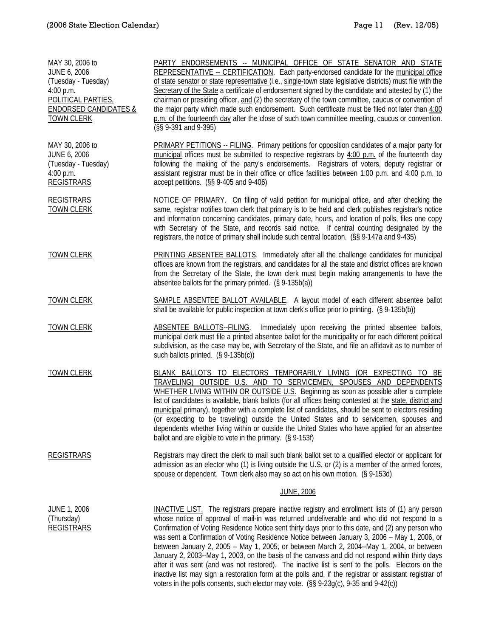| MAY 30, 2006 to<br><b>JUNE 6, 2006</b><br>(Tuesday - Tuesday)<br>4:00 p.m.<br>POLITICAL PARTIES,<br><b>ENDORSED CANDIDATES &amp;</b><br><b>TOWN CLERK</b> | PARTY ENDORSEMENTS -- MUNICIPAL OFFICE OF STATE SENATOR AND STATE<br>REPRESENTATIVE -- CERTIFICATION. Each party-endorsed candidate for the municipal office<br>of state senator or state representative (i.e., single-town state legislative districts) must file with the<br>Secretary of the State a certificate of endorsement signed by the candidate and attested by (1) the<br>chairman or presiding officer, and (2) the secretary of the town committee, caucus or convention of<br>the major party which made such endorsement. Such certificate must be filed not later than 4:00<br>p.m. of the fourteenth day after the close of such town committee meeting, caucus or convention.<br>(§§ 9-391 and 9-395)                                                                                                                                                                                    |
|-----------------------------------------------------------------------------------------------------------------------------------------------------------|-------------------------------------------------------------------------------------------------------------------------------------------------------------------------------------------------------------------------------------------------------------------------------------------------------------------------------------------------------------------------------------------------------------------------------------------------------------------------------------------------------------------------------------------------------------------------------------------------------------------------------------------------------------------------------------------------------------------------------------------------------------------------------------------------------------------------------------------------------------------------------------------------------------|
| MAY 30, 2006 to<br>JUNE 6, 2006<br>(Tuesday - Tuesday)<br>4:00 p.m.<br><b>REGISTRARS</b>                                                                  | PRIMARY PETITIONS -- FILING. Primary petitions for opposition candidates of a major party for<br>municipal offices must be submitted to respective registrars by 4:00 p.m. of the fourteenth day<br>following the making of the party's endorsements. Registrars of voters, deputy registrar or<br>assistant registrar must be in their office or office facilities between 1:00 p.m. and 4:00 p.m. to<br>accept petitions. (§§ 9-405 and 9-406)                                                                                                                                                                                                                                                                                                                                                                                                                                                            |
| <b>REGISTRARS</b><br><b>TOWN CLERK</b>                                                                                                                    | NOTICE OF PRIMARY. On filing of valid petition for municipal office, and after checking the<br>same, registrar notifies town clerk that primary is to be held and clerk publishes registrar's notice<br>and information concerning candidates, primary date, hours, and location of polls, files one copy<br>with Secretary of the State, and records said notice. If central counting designated by the<br>registrars, the notice of primary shall include such central location. (§§ 9-147a and 9-435)                                                                                                                                                                                                                                                                                                                                                                                                    |
| <b>TOWN CLERK</b>                                                                                                                                         | PRINTING ABSENTEE BALLOTS. Immediately after all the challenge candidates for municipal<br>offices are known from the registrars, and candidates for all the state and district offices are known<br>from the Secretary of the State, the town clerk must begin making arrangements to have the<br>absentee ballots for the primary printed. (§ 9-135b(a))                                                                                                                                                                                                                                                                                                                                                                                                                                                                                                                                                  |
| <b>TOWN CLERK</b>                                                                                                                                         | SAMPLE ABSENTEE BALLOT AVAILABLE. A layout model of each different absentee ballot<br>shall be available for public inspection at town clerk's office prior to printing. (§ 9-135b(b))                                                                                                                                                                                                                                                                                                                                                                                                                                                                                                                                                                                                                                                                                                                      |
| <b>TOWN CLERK</b>                                                                                                                                         | ABSENTEE BALLOTS--FILING.<br>Immediately upon receiving the printed absentee ballots,<br>municipal clerk must file a printed absentee ballot for the municipality or for each different political<br>subdivision, as the case may be, with Secretary of the State, and file an affidavit as to number of<br>such ballots printed. (§ 9-135b(c))                                                                                                                                                                                                                                                                                                                                                                                                                                                                                                                                                             |
| <b>TOWN CLERK</b>                                                                                                                                         | BLANK BALLOTS TO ELECTORS TEMPORARILY LIVING (OR EXPECTING TO BE<br>TRAVELING) OUTSIDE U.S. AND TO SERVICEMEN, SPOUSES AND DEPENDENTS<br>WHETHER LIVING WITHIN OR OUTSIDE U.S. Beginning as soon as possible after a complete<br>list of candidates is available, blank ballots (for all offices being contested at the state, district and<br>municipal primary), together with a complete list of candidates, should be sent to electors residing<br>(or expecting to be traveling) outside the United States and to servicemen, spouses and<br>dependents whether living within or outside the United States who have applied for an absentee<br>ballot and are eligible to vote in the primary. (§ 9-153f)                                                                                                                                                                                              |
| <b>REGISTRARS</b>                                                                                                                                         | Registrars may direct the clerk to mail such blank ballot set to a qualified elector or applicant for<br>admission as an elector who (1) is living outside the U.S. or (2) is a member of the armed forces,<br>spouse or dependent. Town clerk also may so act on his own motion. (§ 9-153d)                                                                                                                                                                                                                                                                                                                                                                                                                                                                                                                                                                                                                |
|                                                                                                                                                           | <b>JUNE, 2006</b>                                                                                                                                                                                                                                                                                                                                                                                                                                                                                                                                                                                                                                                                                                                                                                                                                                                                                           |
| <b>JUNE 1, 2006</b><br>(Thursday)<br><b>REGISTRARS</b>                                                                                                    | INACTIVE LIST. The registrars prepare inactive registry and enrollment lists of (1) any person<br>whose notice of approval of mail-in was returned undeliverable and who did not respond to a<br>Confirmation of Voting Residence Notice sent thirty days prior to this date, and (2) any person who<br>was sent a Confirmation of Voting Residence Notice between January 3, 2006 - May 1, 2006, or<br>between January 2, 2005 - May 1, 2005, or between March 2, 2004--May 1, 2004, or between<br>January 2, 2003--May 1, 2003, on the basis of the canvass and did not respond within thirty days<br>after it was sent (and was not restored). The inactive list is sent to the polls. Electors on the<br>inactive list may sign a restoration form at the polls and, if the registrar or assistant registrar of<br>voters in the polls consents, such elector may vote. (§§ 9-23g(c), 9-35 and 9-42(c)) |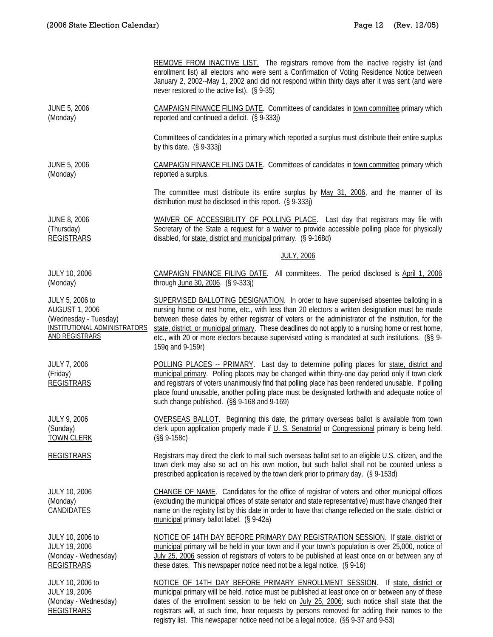|                                                                                                                                   | REMOVE FROM INACTIVE LIST. The registrars remove from the inactive registry list (and<br>enrollment list) all electors who were sent a Confirmation of Voting Residence Notice between<br>January 2, 2002--May 1, 2002 and did not respond within thirty days after it was sent (and were<br>never restored to the active list). (§ 9-35)                                                                                                                                                                                     |
|-----------------------------------------------------------------------------------------------------------------------------------|-------------------------------------------------------------------------------------------------------------------------------------------------------------------------------------------------------------------------------------------------------------------------------------------------------------------------------------------------------------------------------------------------------------------------------------------------------------------------------------------------------------------------------|
| <b>JUNE 5, 2006</b><br>(Monday)                                                                                                   | CAMPAIGN FINANCE FILING DATE. Committees of candidates in town committee primary which<br>reported and continued a deficit. (§ 9-333j)                                                                                                                                                                                                                                                                                                                                                                                        |
|                                                                                                                                   | Committees of candidates in a primary which reported a surplus must distribute their entire surplus<br>by this date. $(S\ 9-333j)$                                                                                                                                                                                                                                                                                                                                                                                            |
| <b>JUNE 5, 2006</b><br>(Monday)                                                                                                   | CAMPAIGN FINANCE FILING DATE. Committees of candidates in town committee primary which<br>reported a surplus.                                                                                                                                                                                                                                                                                                                                                                                                                 |
|                                                                                                                                   | The committee must distribute its entire surplus by May 31, 2006, and the manner of its<br>distribution must be disclosed in this report. (§ 9-333j)                                                                                                                                                                                                                                                                                                                                                                          |
| <b>JUNE 8, 2006</b><br>(Thursday)<br><b>REGISTRARS</b>                                                                            | WAIVER OF ACCESSIBILITY OF POLLING PLACE. Last day that registrars may file with<br>Secretary of the State a request for a waiver to provide accessible polling place for physically<br>disabled, for state, district and municipal primary. (§ 9-168d)                                                                                                                                                                                                                                                                       |
|                                                                                                                                   | <b>JULY, 2006</b>                                                                                                                                                                                                                                                                                                                                                                                                                                                                                                             |
| JULY 10, 2006<br>(Monday)                                                                                                         | CAMPAIGN FINANCE FILING DATE. All committees. The period disclosed is April 1, 2006<br>through June 30, 2006. (§ 9-333j)                                                                                                                                                                                                                                                                                                                                                                                                      |
| JULY 5, 2006 to<br><b>AUGUST 1, 2006</b><br>(Wednesday - Tuesday)<br><b>INSTITUTIONAL ADMINISTRATORS</b><br><b>AND REGISTRARS</b> | SUPERVISED BALLOTING DESIGNATION. In order to have supervised absentee balloting in a<br>nursing home or rest home, etc., with less than 20 electors a written designation must be made<br>between these dates by either registrar of voters or the administrator of the institution, for the<br>state, district, or municipal primary. These deadlines do not apply to a nursing home or rest home,<br>etc., with 20 or more electors because supervised voting is mandated at such institutions. (§§ 9-<br>159q and 9-159r) |
| <b>JULY 7, 2006</b><br>(Friday)<br><b>REGISTRARS</b>                                                                              | POLLING PLACES -- PRIMARY. Last day to determine polling places for state, district and<br>municipal primary. Polling places may be changed within thirty-one day period only if town clerk<br>and registrars of voters unanimously find that polling place has been rendered unusable. If polling<br>place found unusable, another polling place must be designated forthwith and adequate notice of<br>such change published. (§§ 9-168 and 9-169)                                                                          |
| <b>JULY 9, 2006</b><br>(Sunday)<br><b>TOWN CLERK</b>                                                                              | OVERSEAS BALLOT. Beginning this date, the primary overseas ballot is available from town<br>clerk upon application properly made if U. S. Senatorial or Congressional primary is being held.<br>$(S\$ 9-158c)                                                                                                                                                                                                                                                                                                                 |
| <b>REGISTRARS</b>                                                                                                                 | Registrars may direct the clerk to mail such overseas ballot set to an eligible U.S. citizen, and the<br>town clerk may also so act on his own motion, but such ballot shall not be counted unless a<br>prescribed application is received by the town clerk prior to primary day. (§ 9-153d)                                                                                                                                                                                                                                 |
| <b>JULY 10, 2006</b><br>(Monday)<br><b>CANDIDATES</b>                                                                             | CHANGE OF NAME. Candidates for the office of registrar of voters and other municipal offices<br>(excluding the municipal offices of state senator and state representative) must have changed their<br>name on the registry list by this date in order to have that change reflected on the state, district or<br>municipal primary ballot label. (§ 9-42a)                                                                                                                                                                   |
| JULY 10, 2006 to<br><b>JULY 19, 2006</b><br>(Monday - Wednesday)<br><b>REGISTRARS</b>                                             | NOTICE OF 14TH DAY BEFORE PRIMARY DAY REGISTRATION SESSION. If state, district or<br>municipal primary will be held in your town and if your town's population is over 25,000, notice of<br>July 25, 2006 session of registrars of voters to be published at least once on or between any of<br>these dates. This newspaper notice need not be a legal notice. (§ 9-16)                                                                                                                                                       |
| JULY 10, 2006 to<br><b>JULY 19, 2006</b><br>(Monday - Wednesday)<br><b>REGISTRARS</b>                                             | NOTICE OF 14TH DAY BEFORE PRIMARY ENROLLMENT SESSION. If state, district or<br>municipal primary will be held, notice must be published at least once on or between any of these<br>dates of the enrollment session to be held on July 25, 2006; such notice shall state that the<br>registrars will, at such time, hear requests by persons removed for adding their names to the                                                                                                                                            |

registry list. This newspaper notice need not be a legal notice. (§§ 9-37 and 9-53)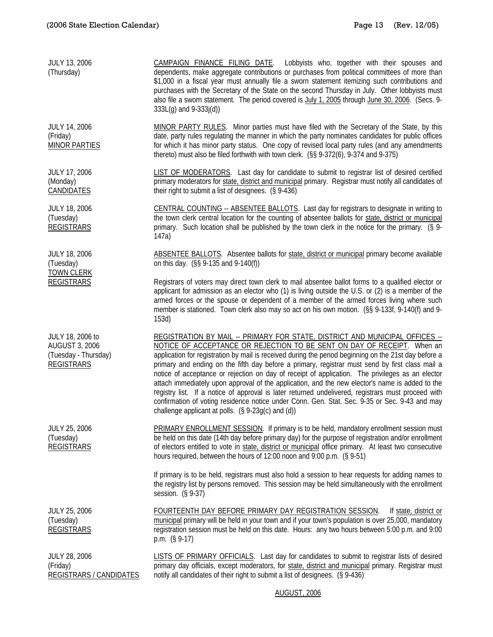| JULY 13, 2006<br>(Thursday)                                                            | CAMPAIGN FINANCE FILING DATE. Lobbyists who, together with their spouses and<br>dependents, make aggregate contributions or purchases from political committees of more than<br>\$1,000 in a fiscal year must annually file a sworn statement itemizing such contributions and<br>purchases with the Secretary of the State on the second Thursday in July. Other lobbyists must<br>also file a sworn statement. The period covered is July 1, 2005 through June 30, 2006. (Secs. 9-<br>333L(g) and 9-333j(d))                                                                                                                                                                                                                                                                                                                          |
|----------------------------------------------------------------------------------------|-----------------------------------------------------------------------------------------------------------------------------------------------------------------------------------------------------------------------------------------------------------------------------------------------------------------------------------------------------------------------------------------------------------------------------------------------------------------------------------------------------------------------------------------------------------------------------------------------------------------------------------------------------------------------------------------------------------------------------------------------------------------------------------------------------------------------------------------|
| <b>JULY 14, 2006</b><br>(Friday)<br><b>MINOR PARTIES</b>                               | MINOR PARTY RULES. Minor parties must have filed with the Secretary of the State, by this<br>date, party rules regulating the manner in which the party nominates candidates for public offices<br>for which it has minor party status. One copy of revised local party rules (and any amendments<br>thereto) must also be filed forthwith with town clerk. (§§ 9-372(6), 9-374 and 9-375)                                                                                                                                                                                                                                                                                                                                                                                                                                              |
| <b>JULY 17, 2006</b><br>(Monday)<br><b>CANDIDATES</b>                                  | LIST OF MODERATORS. Last day for candidate to submit to registrar list of desired certified<br>primary moderators for state, district and municipal primary. Registrar must notify all candidates of<br>their right to submit a list of designees. (§ 9-436)                                                                                                                                                                                                                                                                                                                                                                                                                                                                                                                                                                            |
| <b>JULY 18, 2006</b><br>(Tuesday)<br><b>REGISTRARS</b>                                 | CENTRAL COUNTING -- ABSENTEE BALLOTS. Last day for registrars to designate in writing to<br>the town clerk central location for the counting of absentee ballots for state, district or municipal<br>primary. Such location shall be published by the town clerk in the notice for the primary. (§ 9-<br>147a)                                                                                                                                                                                                                                                                                                                                                                                                                                                                                                                          |
| <b>JULY 18, 2006</b><br>(Tuesday)                                                      | ABSENTEE BALLOTS. Absentee ballots for state, district or municipal primary become available<br>on this day. (§§ 9-135 and 9-140(f))                                                                                                                                                                                                                                                                                                                                                                                                                                                                                                                                                                                                                                                                                                    |
| <b>TOWN CLERK</b><br><b>REGISTRARS</b>                                                 | Registrars of voters may direct town clerk to mail absentee ballot forms to a qualified elector or<br>applicant for admission as an elector who (1) is living outside the U.S. or (2) is a member of the<br>armed forces or the spouse or dependent of a member of the armed forces living where such<br>member is stationed. Town clerk also may so act on his own motion. (§§ 9-133f, 9-140(f) and 9-<br>153d)                                                                                                                                                                                                                                                                                                                                                                                                                        |
| JULY 18, 2006 to<br><b>AUGUST 3, 2006</b><br>(Tuesday - Thursday)<br><b>REGISTRARS</b> | REGISTRATION BY MAIL -- PRIMARY FOR STATE, DISTRICT AND MUNICIPAL OFFICES --<br>NOTICE OF ACCEPTANCE OR REJECTION TO BE SENT ON DAY OF RECEIPT. When an<br>application for registration by mail is received during the period beginning on the 21st day before a<br>primary and ending on the fifth day before a primary, registrar must send by first class mail a<br>notice of acceptance or rejection on day of receipt of application. The privileges as an elector<br>attach immediately upon approval of the application, and the new elector's name is added to the<br>registry list. If a notice of approval is later returned undelivered, registrars must proceed with<br>confirmation of voting residence notice under Conn. Gen. Stat. Sec. 9-35 or Sec. 9-43 and may<br>challenge applicant at polls. (§ 9-23g(c) and (d)) |
| <b>JULY 25, 2006</b><br>(Tuesday)<br><b>REGISTRARS</b>                                 | PRIMARY ENROLLMENT SESSION. If primary is to be held, mandatory enrollment session must<br>be held on this date (14th day before primary day) for the purpose of registration and/or enrollment<br>of electors entitled to vote in state, district or municipal office primary. At least two consecutive<br>hours required, between the hours of 12:00 noon and 9:00 p.m. (§ 9-51)                                                                                                                                                                                                                                                                                                                                                                                                                                                      |
|                                                                                        | If primary is to be held, registrars must also hold a session to hear requests for adding names to<br>the registry list by persons removed. This session may be held simultaneously with the enrollment<br>session. (§ 9-37)                                                                                                                                                                                                                                                                                                                                                                                                                                                                                                                                                                                                            |
| <b>JULY 25, 2006</b><br>(Tuesday)<br><b>REGISTRARS</b>                                 | FOURTEENTH DAY BEFORE PRIMARY DAY REGISTRATION SESSION.<br>If state, district or<br>municipal primary will be held in your town and if your town's population is over 25,000, mandatory<br>registration session must be held on this date. Hours: any two hours between 5:00 p.m. and 9:00<br>p.m. $(§ 9-17)$                                                                                                                                                                                                                                                                                                                                                                                                                                                                                                                           |
| <b>JULY 28, 2006</b><br>(Friday)<br><b>REGISTRARS / CANDIDATES</b>                     | LISTS OF PRIMARY OFFICIALS. Last day for candidates to submit to registrar lists of desired<br>primary day officials, except moderators, for state, district and municipal primary. Registrar must<br>notify all candidates of their right to submit a list of designees. (§ 9-436)                                                                                                                                                                                                                                                                                                                                                                                                                                                                                                                                                     |

AUGUST, 2006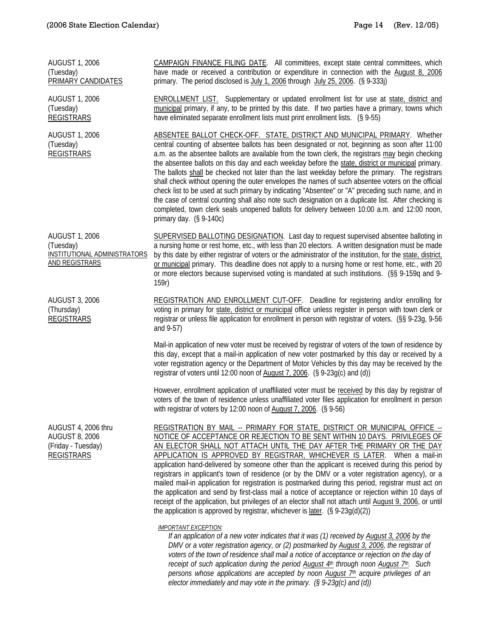| <b>AUGUST 1, 2006</b><br>(Tuesday)<br><b>PRIMARY CANDIDATES</b>                             | CAMPAIGN FINANCE FILING DATE. All committees, except state central committees, which<br>have made or received a contribution or expenditure in connection with the August 8, 2006<br>primary. The period disclosed is July 1, 2006 through July 25, 2006. (§ 9-333j)                                                                                                                                                                                                                                                                                                                                                                                                                                                                                                                                                                                                                                                                      |
|---------------------------------------------------------------------------------------------|-------------------------------------------------------------------------------------------------------------------------------------------------------------------------------------------------------------------------------------------------------------------------------------------------------------------------------------------------------------------------------------------------------------------------------------------------------------------------------------------------------------------------------------------------------------------------------------------------------------------------------------------------------------------------------------------------------------------------------------------------------------------------------------------------------------------------------------------------------------------------------------------------------------------------------------------|
| <b>AUGUST 1, 2006</b><br>(Tuesday)<br><b>REGISTRARS</b>                                     | <b>ENROLLMENT LIST.</b> Supplementary or updated enrollment list for use at state, district and<br>municipal primary, if any, to be printed by this date. If two parties have a primary, towns which<br>have eliminated separate enrollment lists must print enrollment lists. (§ 9-55)                                                                                                                                                                                                                                                                                                                                                                                                                                                                                                                                                                                                                                                   |
| <b>AUGUST 1, 2006</b><br>(Tuesday)<br><b>REGISTRARS</b>                                     | ABSENTEE BALLOT CHECK-OFF. STATE, DISTRICT AND MUNICIPAL PRIMARY. Whether<br>central counting of absentee ballots has been designated or not, beginning as soon after 11:00<br>a.m. as the absentee ballots are available from the town clerk, the registrars may begin checking<br>the absentee ballots on this day and each weekday before the state, district or municipal primary.<br>The ballots shall be checked not later than the last weekday before the primary. The registrars<br>shall check without opening the outer envelopes the names of such absentee voters on the official<br>check list to be used at such primary by indicating "Absentee" or "A" preceding such name, and in<br>the case of central counting shall also note such designation on a duplicate list. After checking is<br>completed, town clerk seals unopened ballots for delivery between 10:00 a.m. and 12:00 noon,<br>primary day. $(S\ 9-140c)$ |
| <b>AUGUST 1, 2006</b><br>(Tuesday)<br>INSTITUTIONAL ADMINISTRATORS<br><b>AND REGISTRARS</b> | <b>SUPERVISED BALLOTING DESIGNATION.</b> Last day to request supervised absentee balloting in<br>a nursing home or rest home, etc., with less than 20 electors. A written designation must be made<br>by this date by either registrar of voters or the administrator of the institution, for the state, district,<br>or municipal primary. This deadline does not apply to a nursing home or rest home, etc., with 20<br>or more electors because supervised voting is mandated at such institutions. (§§ 9-159q and 9-<br>159r)                                                                                                                                                                                                                                                                                                                                                                                                         |
| <b>AUGUST 3, 2006</b><br>(Thursday)<br><b>REGISTRARS</b>                                    | REGISTRATION AND ENROLLMENT CUT-OFF. Deadline for registering and/or enrolling for<br>voting in primary for state, district or municipal office unless register in person with town clerk or<br>registrar or unless file application for enrollment in person with registrar of voters. (§§ 9-23g, 9-56<br>and 9-57)                                                                                                                                                                                                                                                                                                                                                                                                                                                                                                                                                                                                                      |
|                                                                                             | Mail-in application of new voter must be received by registrar of voters of the town of residence by<br>this day, except that a mail-in application of new voter postmarked by this day or received by a<br>voter registration agency or the Department of Motor Vehicles by this day may be received by the<br>registrar of voters until 12:00 noon of August 7, 2006. (§ 9-23g(c) and (d))                                                                                                                                                                                                                                                                                                                                                                                                                                                                                                                                              |
|                                                                                             | However, enrollment application of unaffiliated voter must be received by this day by registrar of<br>voters of the town of residence unless unaffiliated voter files application for enrollment in person<br>with registrar of voters by 12:00 noon of August 7, 2006. (§ 9-56)                                                                                                                                                                                                                                                                                                                                                                                                                                                                                                                                                                                                                                                          |
| AUGUST 4, 2006 thru<br><b>AUGUST 8, 2006</b><br>(Friday - Tuesday)<br><b>REGISTRARS</b>     | REGISTRATION BY MAIL -- PRIMARY FOR STATE, DISTRICT OR MUNICIPAL OFFICE --<br>NOTICE OF ACCEPTANCE OR REJECTION TO BE SENT WITHIN 10 DAYS. PRIVILEGES OF<br>AN ELECTOR SHALL NOT ATTACH UNTIL THE DAY AFTER THE PRIMARY OR THE DAY<br>APPLICATION IS APPROVED BY REGISTRAR, WHICHEVER IS LATER. When a mail-in<br>application hand-delivered by someone other than the applicant is received during this period by<br>registrars in applicant's town of residence (or by the DMV or a voter registration agency), or a<br>mailed mail-in application for registration is postmarked during this period, registrar must act on<br>the application and send by first-class mail a notice of acceptance or rejection within 10 days of<br>receipt of the application, but privileges of an elector shall not attach until August 9, 2006, or until<br>the application is approved by registrar, whichever is $\frac{later}{(§ 9-23g(d)(2))}$ |
|                                                                                             | <b>IMPORTANT EXCEPTION:</b><br>If an application of a new voter indicates that it was (1) received by August 3, 2006 by the<br>DMV or a voter registration agency, or (2) postmarked by August 3, 2006, the registrar of<br>voters of the town of residence shall mail a notice of acceptance or rejection on the day of                                                                                                                                                                                                                                                                                                                                                                                                                                                                                                                                                                                                                  |

*receipt of such application during the period August 4th through noon August 7th. Such persons whose applications are accepted by noon August 7th acquire privileges of an elector immediately and may vote in the primary. (§ 9-23g(c) and (d))*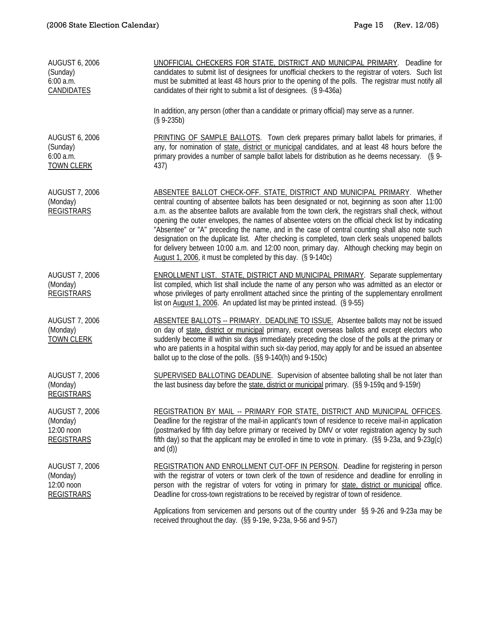| <b>AUGUST 6, 2006</b><br>(Sunday)<br>6:00 a.m.<br>CANDIDATES         | UNOFFICIAL CHECKERS FOR STATE, DISTRICT AND MUNICIPAL PRIMARY. Deadline for<br>candidates to submit list of designees for unofficial checkers to the registrar of voters. Such list<br>must be submitted at least 48 hours prior to the opening of the polls. The registrar must notify all<br>candidates of their right to submit a list of designees. (§ 9-436a)                                                                                                                                                                                                                                                                                                                                                                                             |
|----------------------------------------------------------------------|----------------------------------------------------------------------------------------------------------------------------------------------------------------------------------------------------------------------------------------------------------------------------------------------------------------------------------------------------------------------------------------------------------------------------------------------------------------------------------------------------------------------------------------------------------------------------------------------------------------------------------------------------------------------------------------------------------------------------------------------------------------|
|                                                                      | In addition, any person (other than a candidate or primary official) may serve as a runner.<br>$(S 9-235b)$                                                                                                                                                                                                                                                                                                                                                                                                                                                                                                                                                                                                                                                    |
| <b>AUGUST 6, 2006</b><br>(Sunday)<br>6:00 a.m.<br><b>TOWN CLERK</b>  | PRINTING OF SAMPLE BALLOTS. Town clerk prepares primary ballot labels for primaries, if<br>any, for nomination of state, district or municipal candidates, and at least 48 hours before the<br>primary provides a number of sample ballot labels for distribution as he deems necessary. (§ 9-<br>437)                                                                                                                                                                                                                                                                                                                                                                                                                                                         |
| <b>AUGUST 7, 2006</b><br>(Monday)<br><b>REGISTRARS</b>               | ABSENTEE BALLOT CHECK-OFF. STATE, DISTRICT AND MUNICIPAL PRIMARY. Whether<br>central counting of absentee ballots has been designated or not, beginning as soon after 11:00<br>a.m. as the absentee ballots are available from the town clerk, the registrars shall check, without<br>opening the outer envelopes, the names of absentee voters on the official check list by indicating<br>"Absentee" or "A" preceding the name, and in the case of central counting shall also note such<br>designation on the duplicate list. After checking is completed, town clerk seals unopened ballots<br>for delivery between 10:00 a.m. and 12:00 noon, primary day. Although checking may begin on<br>August 1, 2006, it must be completed by this day. (§ 9-140c) |
| <b>AUGUST 7, 2006</b><br>(Monday)<br><b>REGISTRARS</b>               | <b>ENROLLMENT LIST. STATE, DISTRICT AND MUNICIPAL PRIMARY.</b> Separate supplementary<br>list compiled, which list shall include the name of any person who was admitted as an elector or<br>whose privileges of party enrollment attached since the printing of the supplementary enrollment<br>list on August 1, 2006. An updated list may be printed instead. (§ 9-55)                                                                                                                                                                                                                                                                                                                                                                                      |
| <b>AUGUST 7, 2006</b><br>(Monday)<br><b>TOWN CLERK</b>               | ABSENTEE BALLOTS -- PRIMARY. DEADLINE TO ISSUE. Absentee ballots may not be issued<br>on day of state, district or municipal primary, except overseas ballots and except electors who<br>suddenly become ill within six days immediately preceding the close of the polls at the primary or<br>who are patients in a hospital within such six-day period, may apply for and be issued an absentee<br>ballot up to the close of the polls. (§§ 9-140(h) and 9-150c)                                                                                                                                                                                                                                                                                             |
| <b>AUGUST 7, 2006</b><br>(Monday)<br><b>REGISTRARS</b>               | SUPERVISED BALLOTING DEADLINE. Supervision of absentee balloting shall be not later than<br>the last business day before the state, district or municipal primary. (§§ 9-159q and 9-159r)                                                                                                                                                                                                                                                                                                                                                                                                                                                                                                                                                                      |
| <b>AUGUST 7, 2006</b><br>(Monday)<br>12:00 noon<br><b>REGISTRARS</b> | REGISTRATION BY MAIL -- PRIMARY FOR STATE, DISTRICT AND MUNICIPAL OFFICES.<br>Deadline for the registrar of the mail-in applicant's town of residence to receive mail-in application<br>(postmarked by fifth day before primary or received by DMV or voter registration agency by such<br>fifth day) so that the applicant may be enrolled in time to vote in primary. (§§ 9-23a, and 9-23g(c)<br>and $(d)$ )                                                                                                                                                                                                                                                                                                                                                 |
| <b>AUGUST 7, 2006</b><br>(Monday)<br>12:00 noon<br><b>REGISTRARS</b> | <b>REGISTRATION AND ENROLLMENT CUT-OFF IN PERSON.</b> Deadline for registering in person<br>with the registrar of voters or town clerk of the town of residence and deadline for enrolling in<br>person with the registrar of voters for voting in primary for state, district or municipal office.<br>Deadline for cross-town registrations to be received by registrar of town of residence.                                                                                                                                                                                                                                                                                                                                                                 |
|                                                                      | Applications from servicemen and persons out of the country under §§ 9-26 and 9-23a may be<br>received throughout the day. (§§ 9-19e, 9-23a, 9-56 and 9-57)                                                                                                                                                                                                                                                                                                                                                                                                                                                                                                                                                                                                    |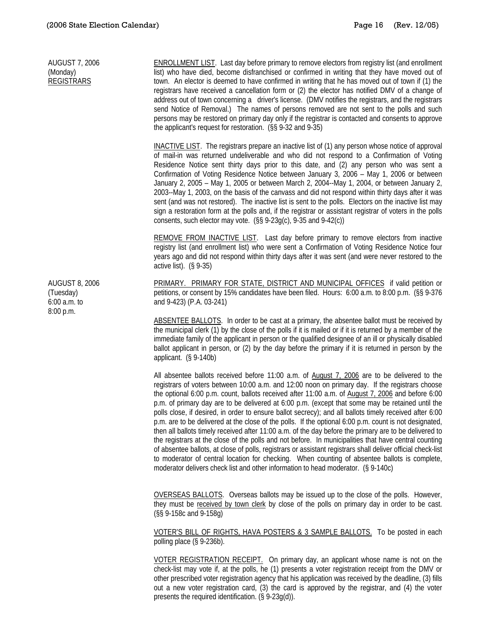AUGUST 7, 2006 (Monday) **REGISTRARS** ENROLLMENT LIST. Last day before primary to remove electors from registry list (and enrollment list) who have died, become disfranchised or confirmed in writing that they have moved out of town. An elector is deemed to have confirmed in writing that he has moved out of town if (1) the registrars have received a cancellation form or (2) the elector has notified DMV of a change of address out of town concerning a driver's license. (DMV notifies the registrars, and the registrars send Notice of Removal.) The names of persons removed are not sent to the polls and such persons may be restored on primary day only if the registrar is contacted and consents to approve the applicant's request for restoration. (§§ 9-32 and 9-35) INACTIVE LIST. The registrars prepare an inactive list of (1) any person whose notice of approval of mail-in was returned undeliverable and who did not respond to a Confirmation of Voting Residence Notice sent thirty days prior to this date, and (2) any person who was sent a Confirmation of Voting Residence Notice between January 3, 2006 – May 1, 2006 or between January 2, 2005 – May 1, 2005 or between March 2, 2004--May 1, 2004, or between January 2, 2003--May 1, 2003, on the basis of the canvass and did not respond within thirty days after it was sent (and was not restored). The inactive list is sent to the polls. Electors on the inactive list may sign a restoration form at the polls and, if the registrar or assistant registrar of voters in the polls consents, such elector may vote. (§§ 9-23g(c), 9-35 and 9-42(c)) REMOVE FROM INACTIVE LIST. Last day before primary to remove electors from inactive registry list (and enrollment list) who were sent a Confirmation of Voting Residence Notice four years ago and did not respond within thirty days after it was sent (and were never restored to the active list). (§ 9-35) AUGUST 8, 2006 (Tuesday) 6:00 a.m. to 8:00 p.m. PRIMARY. PRIMARY FOR STATE, DISTRICT AND MUNICIPAL OFFICES if valid petition or petitions, or consent by 15% candidates have been filed. Hours: 6:00 a.m. to 8:00 p.m. (§§ 9-376 and 9-423) (P.A. 03-241) ABSENTEE BALLOTS. In order to be cast at a primary, the absentee ballot must be received by the municipal clerk (1) by the close of the polls if it is mailed or if it is returned by a member of the immediate family of the applicant in person or the qualified designee of an ill or physically disabled ballot applicant in person, or (2) by the day before the primary if it is returned in person by the applicant. (§ 9-140b) All absentee ballots received before 11:00 a.m. of August 7, 2006 are to be delivered to the registrars of voters between 10:00 a.m. and 12:00 noon on primary day. If the registrars choose the optional 6:00 p.m. count, ballots received after 11:00 a.m. of August 7, 2006 and before 6:00 p.m. of primary day are to be delivered at 6:00 p.m. (except that some may be retained until the polls close, if desired, in order to ensure ballot secrecy); and all ballots timely received after 6:00 p.m. are to be delivered at the close of the polls. If the optional 6:00 p.m. count is not designated, then all ballots timely received after 11:00 a.m. of the day before the primary are to be delivered to the registrars at the close of the polls and not before. In municipalities that have central counting of absentee ballots, at close of polls, registrars or assistant registrars shall deliver official check-list to moderator of central location for checking. When counting of absentee ballots is complete, moderator delivers check list and other information to head moderator. (§ 9-140c) OVERSEAS BALLOTS. Overseas ballots may be issued up to the close of the polls. However, they must be received by town clerk by close of the polls on primary day in order to be cast. (§§ 9-158c and 9-158g) VOTER'S BILL OF RIGHTS, HAVA POSTERS & 3 SAMPLE BALLOTS. To be posted in each polling place (§ 9-236b). VOTER REGISTRATION RECEIPT. On primary day, an applicant whose name is not on the check-list may vote if, at the polls, he (1) presents a voter registration receipt from the DMV or other prescribed voter registration agency that his application was received by the deadline, (3) fills out a new voter registration card, (3) the card is approved by the registrar, and (4) the voter presents the required identification. (§ 9-23g(d)).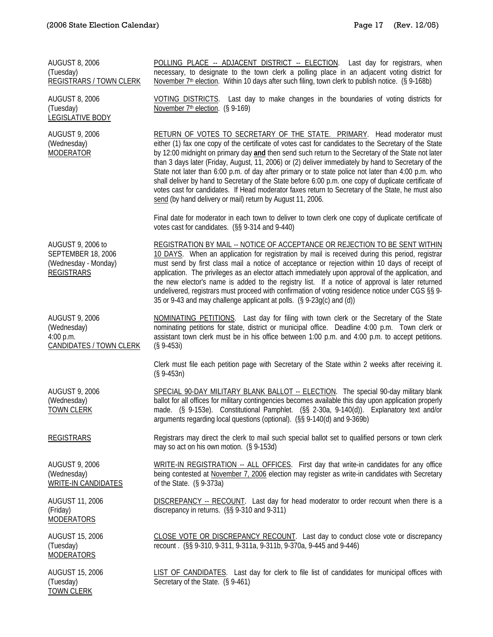| <b>AUGUST 8, 2006</b><br>(Tuesday)<br><b>REGISTRARS / TOWN CLERK</b>                 | POLLING PLACE -- ADJACENT DISTRICT -- ELECTION. Last day for registrars, when<br>necessary, to designate to the town clerk a polling place in an adjacent voting district for<br>November 7 <sup>th</sup> election. Within 10 days after such filing, town clerk to publish notice. (§ 9-168b)                                                                                                                                                                                                                                                                                                                                                                                                                                                                                   |
|--------------------------------------------------------------------------------------|----------------------------------------------------------------------------------------------------------------------------------------------------------------------------------------------------------------------------------------------------------------------------------------------------------------------------------------------------------------------------------------------------------------------------------------------------------------------------------------------------------------------------------------------------------------------------------------------------------------------------------------------------------------------------------------------------------------------------------------------------------------------------------|
| <b>AUGUST 8, 2006</b><br>(Tuesday)<br><b>LEGISLATIVE BODY</b>                        | VOTING DISTRICTS. Last day to make changes in the boundaries of voting districts for<br>November 7th election. (§ 9-169)                                                                                                                                                                                                                                                                                                                                                                                                                                                                                                                                                                                                                                                         |
| <b>AUGUST 9, 2006</b><br>(Wednesday)<br><b>MODERATOR</b>                             | RETURN OF VOTES TO SECRETARY OF THE STATE. PRIMARY. Head moderator must<br>either (1) fax one copy of the certificate of votes cast for candidates to the Secretary of the State<br>by 12:00 midnight on primary day and then send such return to the Secretary of the State not later<br>than 3 days later (Friday, August, 11, 2006) or (2) deliver immediately by hand to Secretary of the<br>State not later than 6:00 p.m. of day after primary or to state police not later than 4:00 p.m. who<br>shall deliver by hand to Secretary of the State before 6:00 p.m. one copy of duplicate certificate of<br>votes cast for candidates. If Head moderator faxes return to Secretary of the State, he must also<br>send (by hand delivery or mail) return by August 11, 2006. |
|                                                                                      | Final date for moderator in each town to deliver to town clerk one copy of duplicate certificate of<br>votes cast for candidates. (§§ 9-314 and 9-440)                                                                                                                                                                                                                                                                                                                                                                                                                                                                                                                                                                                                                           |
| AUGUST 9, 2006 to<br>SEPTEMBER 18, 2006<br>(Wednesday - Monday)<br><b>REGISTRARS</b> | <b>REGISTRATION BY MAIL -- NOTICE OF ACCEPTANCE OR REJECTION TO BE SENT WITHIN</b><br>10 DAYS. When an application for registration by mail is received during this period, registrar<br>must send by first class mail a notice of acceptance or rejection within 10 days of receipt of<br>application. The privileges as an elector attach immediately upon approval of the application, and<br>the new elector's name is added to the registry list. If a notice of approval is later returned<br>undelivered, registrars must proceed with confirmation of voting residence notice under CGS §§ 9-<br>35 or 9-43 and may challenge applicant at polls. (§ 9-23g(c) and (d))                                                                                                   |
| <b>AUGUST 9, 2006</b><br>(Wednesday)<br>4:00 p.m.<br><b>CANDIDATES / TOWN CLERK</b>  | NOMINATING PETITIONS. Last day for filing with town clerk or the Secretary of the State<br>nominating petitions for state, district or municipal office. Deadline 4:00 p.m. Town clerk or<br>assistant town clerk must be in his office between 1:00 p.m. and 4:00 p.m. to accept petitions.<br>$(S 9-453i)$                                                                                                                                                                                                                                                                                                                                                                                                                                                                     |
|                                                                                      | Clerk must file each petition page with Secretary of the State within 2 weeks after receiving it.<br>$(S 9-453n)$                                                                                                                                                                                                                                                                                                                                                                                                                                                                                                                                                                                                                                                                |
| <b>AUGUST 9, 2006</b><br>(Wednesday)<br><b>TOWN CLERK</b>                            | SPECIAL 90-DAY MILITARY BLANK BALLOT -- ELECTION. The special 90-day military blank<br>ballot for all offices for military contingencies becomes available this day upon application properly<br>made. (§ 9-153e). Constitutional Pamphlet. (§§ 2-30a, 9-140(d)). Explanatory text and/or<br>arguments regarding local questions (optional). (§§ 9-140(d) and 9-369b)                                                                                                                                                                                                                                                                                                                                                                                                            |
| <b>REGISTRARS</b>                                                                    | Registrars may direct the clerk to mail such special ballot set to qualified persons or town clerk<br>may so act on his own motion. (§ 9-153d)                                                                                                                                                                                                                                                                                                                                                                                                                                                                                                                                                                                                                                   |
| <b>AUGUST 9, 2006</b><br>(Wednesday)<br>WRITE-IN CANDIDATES                          | WRITE-IN REGISTRATION -- ALL OFFICES. First day that write-in candidates for any office<br>being contested at November 7, 2006 election may register as write-in candidates with Secretary<br>of the State. $(S_9-373a)$                                                                                                                                                                                                                                                                                                                                                                                                                                                                                                                                                         |
| <b>AUGUST 11, 2006</b><br>(Friday)<br><b>MODERATORS</b>                              | DISCREPANCY -- RECOUNT. Last day for head moderator to order recount when there is a<br>discrepancy in returns. (§§ 9-310 and 9-311)                                                                                                                                                                                                                                                                                                                                                                                                                                                                                                                                                                                                                                             |
| <b>AUGUST 15, 2006</b><br>(Tuesday)<br><b>MODERATORS</b>                             | CLOSE VOTE OR DISCREPANCY RECOUNT. Last day to conduct close vote or discrepancy<br>recount. (§§ 9-310, 9-311, 9-311a, 9-311b, 9-370a, 9-445 and 9-446)                                                                                                                                                                                                                                                                                                                                                                                                                                                                                                                                                                                                                          |
| <b>AUGUST 15, 2006</b><br>(Tuesday)<br><b>TOWN CLERK</b>                             | <b>LIST OF CANDIDATES.</b> Last day for clerk to file list of candidates for municipal offices with<br>Secretary of the State. (§ 9-461)                                                                                                                                                                                                                                                                                                                                                                                                                                                                                                                                                                                                                                         |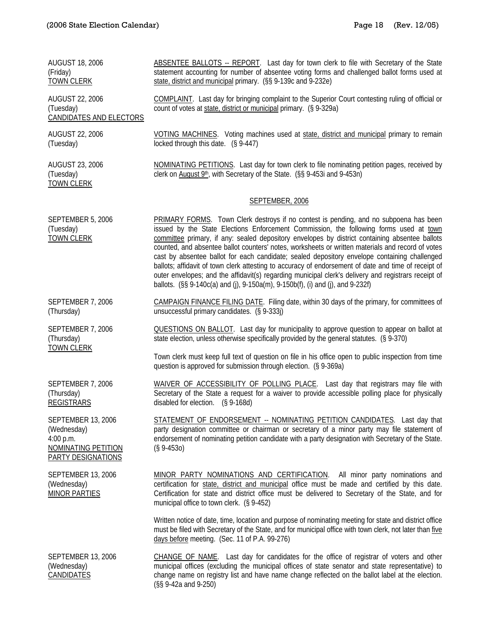| <b>AUGUST 18, 2006</b><br>(Friday)<br><b>TOWN CLERK</b>                                            | ABSENTEE BALLOTS -- REPORT. Last day for town clerk to file with Secretary of the State<br>statement accounting for number of absentee voting forms and challenged ballot forms used at<br>state, district and municipal primary. (§§ 9-139c and 9-232e)                                                                                                                                                                                                                                                                                                                                                                                                                                                                                                                                        |
|----------------------------------------------------------------------------------------------------|-------------------------------------------------------------------------------------------------------------------------------------------------------------------------------------------------------------------------------------------------------------------------------------------------------------------------------------------------------------------------------------------------------------------------------------------------------------------------------------------------------------------------------------------------------------------------------------------------------------------------------------------------------------------------------------------------------------------------------------------------------------------------------------------------|
| <b>AUGUST 22, 2006</b><br>(Tuesday)<br>CANDIDATES AND ELECTORS                                     | COMPLAINT. Last day for bringing complaint to the Superior Court contesting ruling of official or<br>count of votes at state, district or municipal primary. (§ 9-329a)                                                                                                                                                                                                                                                                                                                                                                                                                                                                                                                                                                                                                         |
| <b>AUGUST 22, 2006</b><br>(Tuesday)                                                                | VOTING MACHINES. Voting machines used at state, district and municipal primary to remain<br>locked through this date. (§ 9-447)                                                                                                                                                                                                                                                                                                                                                                                                                                                                                                                                                                                                                                                                 |
| <b>AUGUST 23, 2006</b><br>(Tuesday)<br><b>TOWN CLERK</b>                                           | <b>NOMINATING PETITIONS.</b> Last day for town clerk to file nominating petition pages, received by<br>clerk on August 9th, with Secretary of the State. (§§ 9-453i and 9-453n)                                                                                                                                                                                                                                                                                                                                                                                                                                                                                                                                                                                                                 |
|                                                                                                    | SEPTEMBER, 2006                                                                                                                                                                                                                                                                                                                                                                                                                                                                                                                                                                                                                                                                                                                                                                                 |
| SEPTEMBER 5, 2006<br>(Tuesday)<br><b>TOWN CLERK</b>                                                | <b>PRIMARY FORMS.</b> Town Clerk destroys if no contest is pending, and no subpoena has been<br>issued by the State Elections Enforcement Commission, the following forms used at town<br>committee primary, if any: sealed depository envelopes by district containing absentee ballots<br>counted, and absentee ballot counters' notes, worksheets or written materials and record of votes<br>cast by absentee ballot for each candidate; sealed depository envelope containing challenged<br>ballots; affidavit of town clerk attesting to accuracy of endorsement of date and time of receipt of<br>outer envelopes; and the affidavit(s) regarding municipal clerk's delivery and registrars receipt of<br>ballots. (§§ 9-140c(a) and (j), 9-150a(m), 9-150b(f), (i) and (j), and 9-232f) |
| SEPTEMBER 7, 2006<br>(Thursday)                                                                    | CAMPAIGN FINANCE FILING DATE. Filing date, within 30 days of the primary, for committees of<br>unsuccessful primary candidates. (§ 9-333j)                                                                                                                                                                                                                                                                                                                                                                                                                                                                                                                                                                                                                                                      |
| SEPTEMBER 7, 2006<br>(Thursday)<br><b>TOWN CLERK</b>                                               | <b>QUESTIONS ON BALLOT.</b> Last day for municipality to approve question to appear on ballot at<br>state election, unless otherwise specifically provided by the general statutes. (§ 9-370)                                                                                                                                                                                                                                                                                                                                                                                                                                                                                                                                                                                                   |
|                                                                                                    | Town clerk must keep full text of question on file in his office open to public inspection from time<br>question is approved for submission through election. (§ 9-369a)                                                                                                                                                                                                                                                                                                                                                                                                                                                                                                                                                                                                                        |
| SEPTEMBER 7, 2006<br>(Thursday)<br><b>REGISTRARS</b>                                               | WAIVER OF ACCESSIBILITY OF POLLING PLACE. Last day that registrars may file with<br>Secretary of the State a request for a waiver to provide accessible polling place for physically<br>disabled for election. (§ 9-168d)                                                                                                                                                                                                                                                                                                                                                                                                                                                                                                                                                                       |
| <b>SEPTEMBER 13, 2006</b><br>(Wednesday)<br>4:00 p.m.<br>NOMINATING PETITION<br>PARTY DESIGNATIONS | STATEMENT OF ENDORSEMENT -- NOMINATING PETITION CANDIDATES. Last day that<br>party designation committee or chairman or secretary of a minor party may file statement of<br>endorsement of nominating petition candidate with a party designation with Secretary of the State.<br>$(S\,9-4530)$                                                                                                                                                                                                                                                                                                                                                                                                                                                                                                 |
| SEPTEMBER 13, 2006<br>(Wednesday)<br><b>MINOR PARTIES</b>                                          | MINOR PARTY NOMINATIONS AND CERTIFICATION. All minor party nominations and<br>certification for state, district and municipal office must be made and certified by this date.<br>Certification for state and district office must be delivered to Secretary of the State, and for<br>municipal office to town clerk. (§ 9-452)                                                                                                                                                                                                                                                                                                                                                                                                                                                                  |
|                                                                                                    | Written notice of date, time, location and purpose of nominating meeting for state and district office<br>must be filed with Secretary of the State, and for municipal office with town clerk, not later than five<br>days before meeting. (Sec. 11 of P.A. 99-276)                                                                                                                                                                                                                                                                                                                                                                                                                                                                                                                             |
| SEPTEMBER 13, 2006<br>(Wednesday)<br>CANDIDATES                                                    | CHANGE OF NAME. Last day for candidates for the office of registrar of voters and other<br>municipal offices (excluding the municipal offices of state senator and state representative) to<br>change name on registry list and have name change reflected on the ballot label at the election.<br>(§§ 9-42a and 9-250)                                                                                                                                                                                                                                                                                                                                                                                                                                                                         |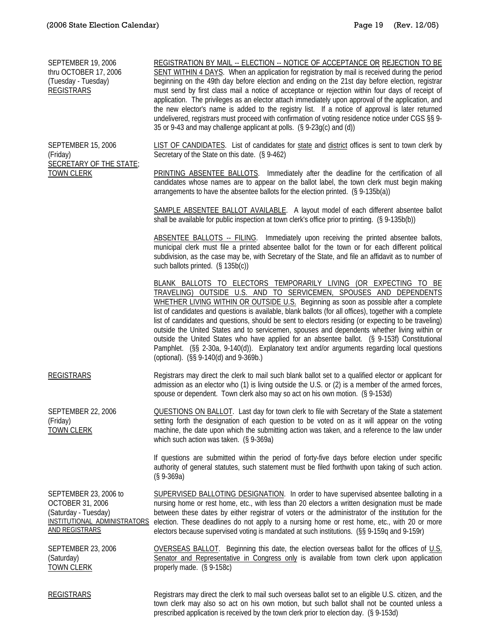| <b>SEPTEMBER 19, 2006</b><br>thru OCTOBER 17, 2006<br>(Tuesday - Tuesday)<br><b>REGISTRARS</b>                             | REGISTRATION BY MAIL -- ELECTION -- NOTICE OF ACCEPTANCE OR REJECTION TO BE<br>SENT WITHIN 4 DAYS. When an application for registration by mail is received during the period<br>beginning on the 49th day before election and ending on the 21st day before election, registrar<br>must send by first class mail a notice of acceptance or rejection within four days of receipt of<br>application. The privileges as an elector attach immediately upon approval of the application, and<br>the new elector's name is added to the registry list. If a notice of approval is later returned<br>undelivered, registrars must proceed with confirmation of voting residence notice under CGS §§ 9-<br>35 or 9-43 and may challenge applicant at polls. (§ 9-23g(c) and (d))               |
|----------------------------------------------------------------------------------------------------------------------------|-------------------------------------------------------------------------------------------------------------------------------------------------------------------------------------------------------------------------------------------------------------------------------------------------------------------------------------------------------------------------------------------------------------------------------------------------------------------------------------------------------------------------------------------------------------------------------------------------------------------------------------------------------------------------------------------------------------------------------------------------------------------------------------------|
| <b>SEPTEMBER 15, 2006</b><br>(Friday)<br><b>SECRETARY OF THE STATE;</b><br><b>TOWN CLERK</b>                               | LIST OF CANDIDATES. List of candidates for state and district offices is sent to town clerk by<br>Secretary of the State on this date. (§ 9-462)                                                                                                                                                                                                                                                                                                                                                                                                                                                                                                                                                                                                                                          |
|                                                                                                                            | <b>PRINTING ABSENTEE BALLOTS.</b> Immediately after the deadline for the certification of all<br>candidates whose names are to appear on the ballot label, the town clerk must begin making<br>arrangements to have the absentee ballots for the election printed. (§ 9-135b(a))                                                                                                                                                                                                                                                                                                                                                                                                                                                                                                          |
|                                                                                                                            | SAMPLE ABSENTEE BALLOT AVAILABLE. A layout model of each different absentee ballot<br>shall be available for public inspection at town clerk's office prior to printing. (§ 9-135b(b))                                                                                                                                                                                                                                                                                                                                                                                                                                                                                                                                                                                                    |
|                                                                                                                            | ABSENTEE BALLOTS -- FILING. Immediately upon receiving the printed absentee ballots,<br>municipal clerk must file a printed absentee ballot for the town or for each different political<br>subdivision, as the case may be, with Secretary of the State, and file an affidavit as to number of<br>such ballots printed. (§ 135b(c))                                                                                                                                                                                                                                                                                                                                                                                                                                                      |
|                                                                                                                            | BLANK BALLOTS TO ELECTORS TEMPORARILY LIVING (OR EXPECTING TO BE<br>TRAVELING) OUTSIDE U.S. AND TO SERVICEMEN, SPOUSES AND DEPENDENTS<br>WHETHER LIVING WITHIN OR OUTSIDE U.S. Beginning as soon as possible after a complete<br>list of candidates and questions is available, blank ballots (for all offices), together with a complete<br>list of candidates and questions, should be sent to electors residing (or expecting to be traveling)<br>outside the United States and to servicemen, spouses and dependents whether living within or<br>outside the United States who have applied for an absentee ballot. (§ 9-153f) Constitutional<br>Pamphlet. (§§ 2-30a, 9-140(d)). Explanatory text and/or arguments regarding local questions<br>(optional). (§§ 9-140(d) and 9-369b.) |
| <b>REGISTRARS</b>                                                                                                          | Registrars may direct the clerk to mail such blank ballot set to a qualified elector or applicant for<br>admission as an elector who (1) is living outside the U.S. or (2) is a member of the armed forces,<br>spouse or dependent. Town clerk also may so act on his own motion. (§ 9-153d)                                                                                                                                                                                                                                                                                                                                                                                                                                                                                              |
| <b>SEPTEMBER 22, 2006</b><br>(Friday)<br><b>TOWN CLERK</b>                                                                 | <b>QUESTIONS ON BALLOT.</b> Last day for town clerk to file with Secretary of the State a statement<br>setting forth the designation of each question to be voted on as it will appear on the voting<br>machine, the date upon which the submitting action was taken, and a reference to the law under<br>which such action was taken. (§ 9-369a)                                                                                                                                                                                                                                                                                                                                                                                                                                         |
|                                                                                                                            | If questions are submitted within the period of forty-five days before election under specific<br>authority of general statutes, such statement must be filed forthwith upon taking of such action.<br>$(S 9-369a)$                                                                                                                                                                                                                                                                                                                                                                                                                                                                                                                                                                       |
| SEPTEMBER 23, 2006 to<br>OCTOBER 31, 2006<br>(Saturday - Tuesday)<br>INSTITUTIONAL ADMINISTRATORS<br><b>AND REGISTRARS</b> | <b>SUPERVISED BALLOTING DESIGNATION.</b> In order to have supervised absentee balloting in a<br>nursing home or rest home, etc., with less than 20 electors a written designation must be made<br>between these dates by either registrar of voters or the administrator of the institution for the<br>election. These deadlines do not apply to a nursing home or rest home, etc., with 20 or more<br>electors because supervised voting is mandated at such institutions. (§§ 9-159q and 9-159r)                                                                                                                                                                                                                                                                                        |
| SEPTEMBER 23, 2006<br>(Saturday)<br><b>TOWN CLERK</b>                                                                      | <b>OVERSEAS BALLOT.</b> Beginning this date, the election overseas ballot for the offices of $U.S.$<br>Senator and Representative in Congress only is available from town clerk upon application<br>properly made. (§ 9-158c)                                                                                                                                                                                                                                                                                                                                                                                                                                                                                                                                                             |
| <b>REGISTRARS</b>                                                                                                          | Registrars may direct the clerk to mail such overseas ballot set to an eligible U.S. citizen, and the<br>town clerk may also so act on his own motion, but such ballot shall not be counted unless a<br>prescribed application is received by the town clerk prior to election day. (§ 9-153d)                                                                                                                                                                                                                                                                                                                                                                                                                                                                                            |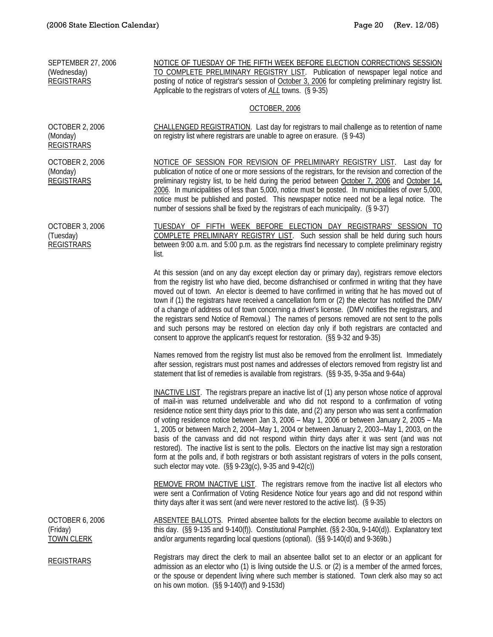| <b>SEPTEMBER 27, 2006</b><br>(Wednesday)<br><b>REGISTRARS</b> | NOTICE OF TUESDAY OF THE FIFTH WEEK BEFORE ELECTION CORRECTIONS SESSION<br>TO COMPLETE PRELIMINARY REGISTRY LIST. Publication of newspaper legal notice and<br>posting of notice of registrar's session of October 3, 2006 for completing preliminary registry list.<br>Applicable to the registrars of voters of ALL towns. (§ 9-35)                                                                                                                                                                                                                                                                                                                                                                                                                                                                                                                                                        |
|---------------------------------------------------------------|----------------------------------------------------------------------------------------------------------------------------------------------------------------------------------------------------------------------------------------------------------------------------------------------------------------------------------------------------------------------------------------------------------------------------------------------------------------------------------------------------------------------------------------------------------------------------------------------------------------------------------------------------------------------------------------------------------------------------------------------------------------------------------------------------------------------------------------------------------------------------------------------|
|                                                               | <b>OCTOBER, 2006</b>                                                                                                                                                                                                                                                                                                                                                                                                                                                                                                                                                                                                                                                                                                                                                                                                                                                                         |
| <b>OCTOBER 2, 2006</b><br>(Monday)<br><b>REGISTRARS</b>       | <b>CHALLENGED REGISTRATION.</b> Last day for registrars to mail challenge as to retention of name<br>on registry list where registrars are unable to agree on erasure. (§ 9-43)                                                                                                                                                                                                                                                                                                                                                                                                                                                                                                                                                                                                                                                                                                              |
| <b>OCTOBER 2, 2006</b><br>(Monday)<br><b>REGISTRARS</b>       | NOTICE OF SESSION FOR REVISION OF PRELIMINARY REGISTRY LIST. Last day for<br>publication of notice of one or more sessions of the registrars, for the revision and correction of the<br>preliminary registry list, to be held during the period between October 7, 2006 and October 14,<br>2006. In municipalities of less than 5,000, notice must be posted. In municipalities of over 5,000,<br>notice must be published and posted. This newspaper notice need not be a legal notice. The<br>number of sessions shall be fixed by the registrars of each municipality. (§ 9-37)                                                                                                                                                                                                                                                                                                           |
| <b>OCTOBER 3, 2006</b><br>(Tuesday)<br><b>REGISTRARS</b>      | TUESDAY OF FIFTH WEEK BEFORE ELECTION DAY REGISTRARS' SESSION TO<br>COMPLETE PRELIMINARY REGISTRY LIST. Such session shall be held during such hours<br>between 9:00 a.m. and 5:00 p.m. as the registrars find necessary to complete preliminary registry<br>list.                                                                                                                                                                                                                                                                                                                                                                                                                                                                                                                                                                                                                           |
|                                                               | At this session (and on any day except election day or primary day), registrars remove electors<br>from the registry list who have died, become disfranchised or confirmed in writing that they have<br>moved out of town. An elector is deemed to have confirmed in writing that he has moved out of<br>town if (1) the registrars have received a cancellation form or (2) the elector has notified the DMV<br>of a change of address out of town concerning a driver's license. (DMV notifies the registrars, and<br>the registrars send Notice of Removal.) The names of persons removed are not sent to the polls<br>and such persons may be restored on election day only if both registrars are contacted and<br>consent to approve the applicant's request for restoration. (§§ 9-32 and 9-35)                                                                                       |
|                                                               | Names removed from the registry list must also be removed from the enrollment list. Immediately<br>after session, registrars must post names and addresses of electors removed from registry list and<br>statement that list of remedies is available from registrars. (§§ 9-35, 9-35a and 9-64a)                                                                                                                                                                                                                                                                                                                                                                                                                                                                                                                                                                                            |
|                                                               | <b>INACTIVE LIST</b> . The registrars prepare an inactive list of (1) any person whose notice of approval<br>of mail-in was returned undeliverable and who did not respond to a confirmation of voting<br>residence notice sent thirty days prior to this date, and (2) any person who was sent a confirmation<br>of voting residence notice between Jan 3, 2006 - May 1, 2006 or between January 2, 2005 - Ma<br>1, 2005 or between March 2, 2004--May 1, 2004 or between January 2, 2003--May 1, 2003, on the<br>basis of the canvass and did not respond within thirty days after it was sent (and was not<br>restored). The inactive list is sent to the polls. Electors on the inactive list may sign a restoration<br>form at the polls and, if both registrars or both assistant registrars of voters in the polls consent,<br>such elector may vote. (§§ 9-23g(c), 9-35 and 9-42(c)) |
|                                                               | <b>REMOVE FROM INACTIVE LIST.</b> The registrars remove from the inactive list all electors who<br>were sent a Confirmation of Voting Residence Notice four years ago and did not respond within<br>thirty days after it was sent (and were never restored to the active list). (§ 9-35)                                                                                                                                                                                                                                                                                                                                                                                                                                                                                                                                                                                                     |
| <b>OCTOBER 6, 2006</b><br>(Friday)<br><b>TOWN CLERK</b>       | ABSENTEE BALLOTS. Printed absentee ballots for the election become available to electors on<br>this day. (§§ 9-135 and 9-140(f)). Constitutional Pamphlet. (§§ 2-30a, 9-140(d)). Explanatory text<br>and/or arguments regarding local questions (optional). (§§ 9-140(d) and 9-369b.)                                                                                                                                                                                                                                                                                                                                                                                                                                                                                                                                                                                                        |
| <b>REGISTRARS</b>                                             | Registrars may direct the clerk to mail an absentee ballot set to an elector or an applicant for<br>admission as an elector who (1) is living outside the U.S. or (2) is a member of the armed forces,<br>or the spouse or dependent living where such member is stationed. Town clerk also may so act<br>on his own motion. $(S\ S 9-140(f)$ and 9-153d)                                                                                                                                                                                                                                                                                                                                                                                                                                                                                                                                    |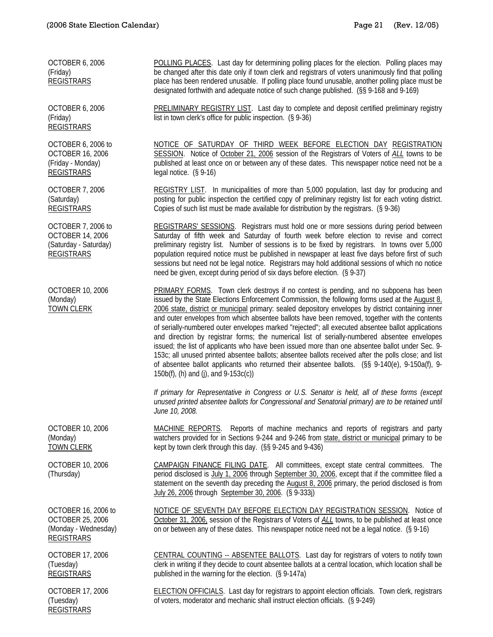OCTOBER 6, 2006 (Friday) REGISTRARS

OCTOBER 6, 2006 (Friday) REGISTRARS

OCTOBER 6, 2006 to OCTOBER 16, 2006 (Friday - Monday) REGISTRARS

OCTOBER 7, 2006 (Saturday) REGISTRARS

OCTOBER 7, 2006 to OCTOBER 14, 2006 (Saturday - Saturday) REGISTRARS

OCTOBER 10, 2006 (Monday) TOWN CLERK

OCTOBER 10, 2006 (Monday) TOWN CLERK

OCTOBER 10, 2006 (Thursday)

OCTOBER 16, 2006 to OCTOBER 25, 2006 (Monday - Wednesday) REGISTRARS

OCTOBER 17, 2006 (Tuesday) REGISTRARS

OCTOBER 17, 2006 (Tuesday) REGISTRARS

POLLING PLACES. Last day for determining polling places for the election. Polling places may be changed after this date only if town clerk and registrars of voters unanimously find that polling place has been rendered unusable. If polling place found unusable, another polling place must be designated forthwith and adequate notice of such change published. (§§ 9-168 and 9-169)

PRELIMINARY REGISTRY LIST. Last day to complete and deposit certified preliminary registry list in town clerk's office for public inspection. (§ 9-36)

NOTICE OF SATURDAY OF THIRD WEEK BEFORE ELECTION DAY REGISTRATION SESSION. Notice of October 21, 2006 session of the Registrars of Voters of *ALL* towns to be published at least once on or between any of these dates. This newspaper notice need not be a legal notice. (§ 9-16)

REGISTRY LIST. In municipalities of more than 5,000 population, last day for producing and posting for public inspection the certified copy of preliminary registry list for each voting district. Copies of such list must be made available for distribution by the registrars. (§ 9-36)

REGISTRARS' SESSIONS. Registrars must hold one or more sessions during period between Saturday of fifth week and Saturday of fourth week before election to revise and correct preliminary registry list. Number of sessions is to be fixed by registrars. In towns over 5,000 population required notice must be published in newspaper at least five days before first of such sessions but need not be legal notice. Registrars may hold additional sessions of which no notice need be given, except during period of six days before election. (§ 9-37)

PRIMARY FORMS. Town clerk destroys if no contest is pending, and no subpoena has been issued by the State Elections Enforcement Commission, the following forms used at the August 8, 2006 state, district or municipal primary: sealed depository envelopes by district containing inner and outer envelopes from which absentee ballots have been removed, together with the contents of serially-numbered outer envelopes marked "rejected"; all executed absentee ballot applications and direction by registrar forms; the numerical list of serially-numbered absentee envelopes issued; the list of applicants who have been issued more than one absentee ballot under Sec. 9- 153c; all unused printed absentee ballots; absentee ballots received after the polls close; and list of absentee ballot applicants who returned their absentee ballots. (§§ 9-140(e), 9-150a(f), 9- 150b(f), (h) and (j), and 9-153c(c))

*If primary for Representative in Congress or U.S. Senator is held, all of these forms (except unused printed absentee ballots for Congressional and Senatorial primary) are to be retained until June 10, 2008.* 

MACHINE REPORTS. Reports of machine mechanics and reports of registrars and party watchers provided for in Sections 9-244 and 9-246 from state, district or municipal primary to be kept by town clerk through this day. (§§ 9-245 and 9-436)

CAMPAIGN FINANCE FILING DATE. All committees, except state central committees. The period disclosed is July 1, 2006 through September 30, 2006, except that if the committee filed a statement on the seventh day preceding the August 8, 2006 primary, the period disclosed is from July 26, 2006 through September 30, 2006. (§ 9-333j)

NOTICE OF SEVENTH DAY BEFORE ELECTION DAY REGISTRATION SESSION. Notice of October 31, 2006, session of the Registrars of Voters of *ALL* towns, to be published at least once on or between any of these dates. This newspaper notice need not be a legal notice. (§ 9-16)

CENTRAL COUNTING -- ABSENTEE BALLOTS. Last day for registrars of voters to notify town clerk in writing if they decide to count absentee ballots at a central location, which location shall be published in the warning for the election. (§ 9-147a)

ELECTION OFFICIALS. Last day for registrars to appoint election officials. Town clerk, registrars of voters, moderator and mechanic shall instruct election officials. (§ 9-249)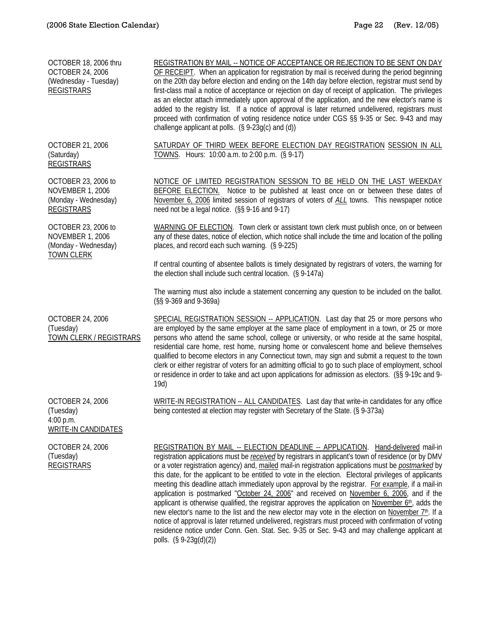| OCTOBER 18, 2006 thru<br><b>OCTOBER 24, 2006</b><br>(Wednesday - Tuesday)<br><b>REGISTRARS</b> | REGISTRATION BY MAIL -- NOTICE OF ACCEPTANCE OR REJECTION TO BE SENT ON DAY<br>OF RECEIPT. When an application for registration by mail is received during the period beginning<br>on the 20th day before election and ending on the 14th day before election, registrar must send by<br>first-class mail a notice of acceptance or rejection on day of receipt of application. The privileges<br>as an elector attach immediately upon approval of the application, and the new elector's name is<br>added to the registry list. If a notice of approval is later returned undelivered, registrars must<br>proceed with confirmation of voting residence notice under CGS §§ 9-35 or Sec. 9-43 and may<br>challenge applicant at polls. (§ 9-23g(c) and (d))                                                                                                                                                                                   |
|------------------------------------------------------------------------------------------------|-------------------------------------------------------------------------------------------------------------------------------------------------------------------------------------------------------------------------------------------------------------------------------------------------------------------------------------------------------------------------------------------------------------------------------------------------------------------------------------------------------------------------------------------------------------------------------------------------------------------------------------------------------------------------------------------------------------------------------------------------------------------------------------------------------------------------------------------------------------------------------------------------------------------------------------------------|
| OCTOBER 21, 2006<br>(Saturday)<br><b>REGISTRARS</b>                                            | SATURDAY OF THIRD WEEK BEFORE ELECTION DAY REGISTRATION SESSION IN ALL<br>TOWNS. Hours: 10:00 a.m. to 2:00 p.m. (§ 9-17)                                                                                                                                                                                                                                                                                                                                                                                                                                                                                                                                                                                                                                                                                                                                                                                                                        |
| OCTOBER 23, 2006 to<br><b>NOVEMBER 1, 2006</b><br>(Monday - Wednesday)<br><b>REGISTRARS</b>    | NOTICE OF LIMITED REGISTRATION SESSION TO BE HELD ON THE LAST WEEKDAY<br>BEFORE ELECTION. Notice to be published at least once on or between these dates of<br>November 6, 2006 limited session of registrars of voters of ALL towns. This newspaper notice<br>need not be a legal notice. (§§ 9-16 and 9-17)                                                                                                                                                                                                                                                                                                                                                                                                                                                                                                                                                                                                                                   |
| OCTOBER 23, 2006 to<br><b>NOVEMBER 1, 2006</b><br>(Monday - Wednesday)<br><b>TOWN CLERK</b>    | WARNING OF ELECTION. Town clerk or assistant town clerk must publish once, on or between<br>any of these dates, notice of election, which notice shall include the time and location of the polling<br>places, and record each such warning. (§ 9-225)                                                                                                                                                                                                                                                                                                                                                                                                                                                                                                                                                                                                                                                                                          |
|                                                                                                | If central counting of absentee ballots is timely designated by registrars of voters, the warning for<br>the election shall include such central location. (§ 9-147a)                                                                                                                                                                                                                                                                                                                                                                                                                                                                                                                                                                                                                                                                                                                                                                           |
|                                                                                                | The warning must also include a statement concerning any question to be included on the ballot.<br>(§§ 9-369 and 9-369a)                                                                                                                                                                                                                                                                                                                                                                                                                                                                                                                                                                                                                                                                                                                                                                                                                        |
| <b>OCTOBER 24, 2006</b><br>(Tuesday)<br>TOWN CLERK / REGISTRARS                                | SPECIAL REGISTRATION SESSION -- APPLICATION. Last day that 25 or more persons who<br>are employed by the same employer at the same place of employment in a town, or 25 or more<br>persons who attend the same school, college or university, or who reside at the same hospital,<br>residential care home, rest home, nursing home or convalescent home and believe themselves<br>qualified to become electors in any Connecticut town, may sign and submit a request to the town<br>clerk or either registrar of voters for an admitting official to go to such place of employment, school<br>or residence in order to take and act upon applications for admission as electors. (§§ 9-19c and 9-<br>19d)                                                                                                                                                                                                                                    |
| <b>OCTOBER 24, 2006</b><br>(Tuesday)<br>4:00 p.m.<br><b>WRITE-IN CANDIDATES</b>                | WRITE-IN REGISTRATION -- ALL CANDIDATES. Last day that write-in candidates for any office<br>being contested at election may register with Secretary of the State. (§ 9-373a)                                                                                                                                                                                                                                                                                                                                                                                                                                                                                                                                                                                                                                                                                                                                                                   |
| <b>OCTOBER 24, 2006</b><br>(Tuesday)<br><b>REGISTRARS</b>                                      | REGISTRATION BY MAIL -- ELECTION DEADLINE -- APPLICATION. Hand-delivered mail-in<br>registration applications must be <i>received</i> by registrars in applicant's town of residence (or by DMV<br>or a voter registration agency) and, mailed mail-in registration applications must be <i>postmarked</i> by<br>this date, for the applicant to be entitled to vote in the election. Electoral privileges of applicants<br>meeting this deadline attach immediately upon approval by the registrar. For example, if a mail-in<br>application is postmarked "October 24, 2006" and received on November 6, 2006, and if the<br>applicant is otherwise qualified, the registrar approves the application on November 6th, adds the<br>new elector's name to the list and the new elector may vote in the election on November 7th. If a<br>notice of approval is later returned undelivered, registrars must proceed with confirmation of voting |

polls. (§ 9-23g(d)(2))

residence notice under Conn. Gen. Stat. Sec. 9-35 or Sec. 9-43 and may challenge applicant at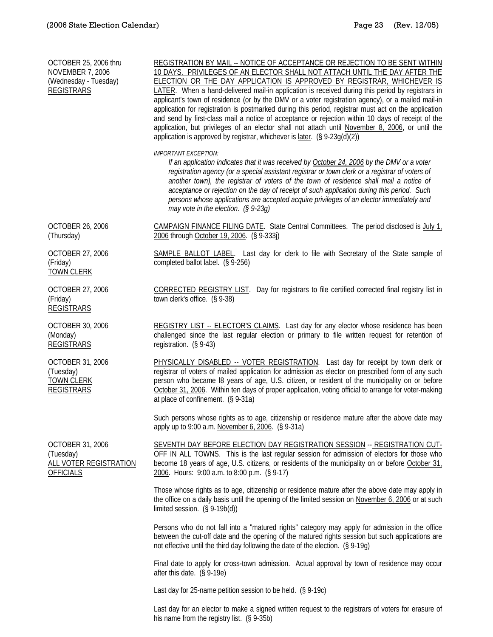| OCTOBER 25, 2006 thru<br><b>NOVEMBER 7, 2006</b><br>(Wednesday - Tuesday)<br><b>REGISTRARS</b> | REGISTRATION BY MAIL -- NOTICE OF ACCEPTANCE OR REJECTION TO BE SENT WITHIN<br>10 DAYS. PRIVILEGES OF AN ELECTOR SHALL NOT ATTACH UNTIL THE DAY AFTER THE<br>ELECTION OR THE DAY APPLICATION IS APPROVED BY REGISTRAR, WHICHEVER IS<br>LATER. When a hand-delivered mail-in application is received during this period by registrars in<br>applicant's town of residence (or by the DMV or a voter registration agency), or a mailed mail-in<br>application for registration is postmarked during this period, registrar must act on the application<br>and send by first-class mail a notice of acceptance or rejection within 10 days of receipt of the<br>application, but privileges of an elector shall not attach until November 8, 2006, or until the<br>application is approved by registrar, whichever is later. (§ 9-23g(d)(2)) |
|------------------------------------------------------------------------------------------------|-------------------------------------------------------------------------------------------------------------------------------------------------------------------------------------------------------------------------------------------------------------------------------------------------------------------------------------------------------------------------------------------------------------------------------------------------------------------------------------------------------------------------------------------------------------------------------------------------------------------------------------------------------------------------------------------------------------------------------------------------------------------------------------------------------------------------------------------|
|                                                                                                | <b>IMPORTANT EXCEPTION:</b><br>If an application indicates that it was received by October 24, 2006 by the DMV or a voter<br>registration agency (or a special assistant registrar or town clerk or a registrar of voters of<br>another town), the registrar of voters of the town of residence shall mail a notice of<br>acceptance or rejection on the day of receipt of such application during this period. Such<br>persons whose applications are accepted acquire privileges of an elector immediately and<br>may vote in the election. $(§ 9-23q)$                                                                                                                                                                                                                                                                                 |
| <b>OCTOBER 26, 2006</b><br>(Thursday)                                                          | CAMPAIGN FINANCE FILING DATE. State Central Committees. The period disclosed is $July 1$<br>2006 through October 19, 2006. (§ 9-333j)                                                                                                                                                                                                                                                                                                                                                                                                                                                                                                                                                                                                                                                                                                     |
| OCTOBER 27, 2006<br>(Friday)<br><b>TOWN CLERK</b>                                              | SAMPLE BALLOT LABEL. Last day for clerk to file with Secretary of the State sample of<br>completed ballot label. (§ 9-256)                                                                                                                                                                                                                                                                                                                                                                                                                                                                                                                                                                                                                                                                                                                |
| OCTOBER 27, 2006<br>(Friday)<br><b>REGISTRARS</b>                                              | CORRECTED REGISTRY LIST. Day for registrars to file certified corrected final registry list in<br>town clerk's office. (§ 9-38)                                                                                                                                                                                                                                                                                                                                                                                                                                                                                                                                                                                                                                                                                                           |
| OCTOBER 30, 2006<br>(Monday)<br><b>REGISTRARS</b>                                              | REGISTRY LIST -- ELECTOR'S CLAIMS. Last day for any elector whose residence has been<br>challenged since the last regular election or primary to file written request for retention of<br>registration. $(S 9-43)$                                                                                                                                                                                                                                                                                                                                                                                                                                                                                                                                                                                                                        |
| OCTOBER 31, 2006<br>(Tuesday)<br><b>TOWN CLERK</b><br><b>REGISTRARS</b>                        | PHYSICALLY DISABLED -- VOTER REGISTRATION. Last day for receipt by town clerk or<br>registrar of voters of mailed application for admission as elector on prescribed form of any such<br>person who became I8 years of age, U.S. citizen, or resident of the municipality on or before<br>October 31, 2006. Within ten days of proper application, voting official to arrange for voter-making<br>at place of confinement. (§ 9-31a)                                                                                                                                                                                                                                                                                                                                                                                                      |
|                                                                                                | Such persons whose rights as to age, citizenship or residence mature after the above date may<br>apply up to 9:00 a.m. November 6, 2006. (§ 9-31a)                                                                                                                                                                                                                                                                                                                                                                                                                                                                                                                                                                                                                                                                                        |
| OCTOBER 31, 2006<br>(Tuesday)<br>ALL VOTER REGISTRATION<br><b>OFFICIALS</b>                    | SEVENTH DAY BEFORE ELECTION DAY REGISTRATION SESSION -- REGISTRATION CUT-<br>OFF IN ALL TOWNS. This is the last regular session for admission of electors for those who<br>become 18 years of age, U.S. citizens, or residents of the municipality on or before October 31,<br>2006. Hours: 9:00 a.m. to 8:00 p.m. (§ 9-17)                                                                                                                                                                                                                                                                                                                                                                                                                                                                                                               |
|                                                                                                | Those whose rights as to age, citizenship or residence mature after the above date may apply in<br>the office on a daily basis until the opening of the limited session on November 6, 2006 or at such<br>limited session. $(\S 9-19b(d))$                                                                                                                                                                                                                                                                                                                                                                                                                                                                                                                                                                                                |
|                                                                                                | Persons who do not fall into a "matured rights" category may apply for admission in the office<br>between the cut-off date and the opening of the matured rights session but such applications are<br>not effective until the third day following the date of the election. (§ 9-19g)                                                                                                                                                                                                                                                                                                                                                                                                                                                                                                                                                     |
|                                                                                                | Final date to apply for cross-town admission. Actual approval by town of residence may occur<br>after this date. (§ 9-19e)                                                                                                                                                                                                                                                                                                                                                                                                                                                                                                                                                                                                                                                                                                                |
|                                                                                                | Last day for 25-name petition session to be held. $(S 9-19c)$                                                                                                                                                                                                                                                                                                                                                                                                                                                                                                                                                                                                                                                                                                                                                                             |
|                                                                                                | Last day for an elector to make a signed written request to the registrars of voters for erasure of<br>his name from the registry list. (§ 9-35b)                                                                                                                                                                                                                                                                                                                                                                                                                                                                                                                                                                                                                                                                                         |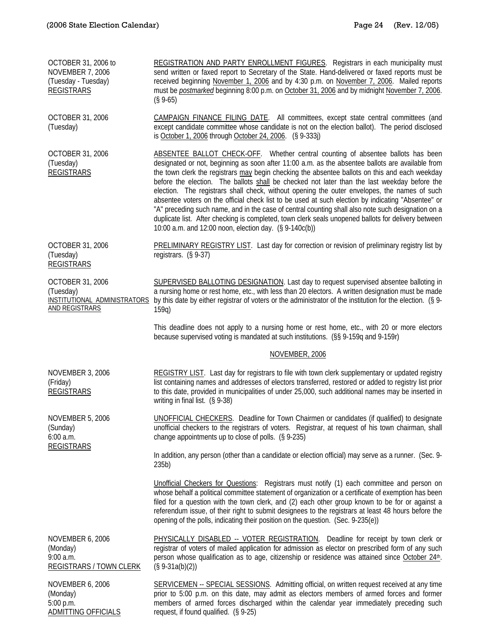| OCTOBER 31, 2006 to<br><b>NOVEMBER 7, 2006</b><br>(Tuesday - Tuesday)<br><b>REGISTRARS</b> | REGISTRATION AND PARTY ENROLLMENT FIGURES. Registrars in each municipality must<br>send written or faxed report to Secretary of the State. Hand-delivered or faxed reports must be<br>received beginning November 1, 2006 and by 4:30 p.m. on November 7, 2006. Mailed reports<br>must be <i>postmarked</i> beginning 8:00 p.m. on October 31, 2006 and by midnight November 7, 2006.<br>$(S\,9-65)$                                                                                                                                                                                                                                                                                                                                                                                                                                                                |
|--------------------------------------------------------------------------------------------|---------------------------------------------------------------------------------------------------------------------------------------------------------------------------------------------------------------------------------------------------------------------------------------------------------------------------------------------------------------------------------------------------------------------------------------------------------------------------------------------------------------------------------------------------------------------------------------------------------------------------------------------------------------------------------------------------------------------------------------------------------------------------------------------------------------------------------------------------------------------|
| OCTOBER 31, 2006<br>(Tuesday)                                                              | CAMPAIGN FINANCE FILING DATE. All committees, except state central committees (and<br>except candidate committee whose candidate is not on the election ballot). The period disclosed<br>is October 1, 2006 through October 24, 2006. (§ 9-333j)                                                                                                                                                                                                                                                                                                                                                                                                                                                                                                                                                                                                                    |
| OCTOBER 31, 2006<br>(Tuesday)<br><b>REGISTRARS</b>                                         | ABSENTEE BALLOT CHECK-OFF. Whether central counting of absentee ballots has been<br>designated or not, beginning as soon after 11:00 a.m. as the absentee ballots are available from<br>the town clerk the registrars may begin checking the absentee ballots on this and each weekday<br>before the election. The ballots shall be checked not later than the last weekday before the<br>election. The registrars shall check, without opening the outer envelopes, the names of such<br>absentee voters on the official check list to be used at such election by indicating "Absentee" or<br>"A" preceding such name, and in the case of central counting shall also note such designation on a<br>duplicate list. After checking is completed, town clerk seals unopened ballots for delivery between<br>10:00 a.m. and 12:00 noon, election day. (§ 9-140c(b)) |
| OCTOBER 31, 2006<br>(Tuesday)<br><b>REGISTRARS</b>                                         | <b>PRELIMINARY REGISTRY LIST.</b> Last day for correction or revision of preliminary registry list by<br>registrars. (§ 9-37)                                                                                                                                                                                                                                                                                                                                                                                                                                                                                                                                                                                                                                                                                                                                       |
| OCTOBER 31, 2006<br>(Tuesday)<br>INSTITUTIONAL ADMINISTRATORS<br><b>AND REGISTRARS</b>     | SUPERVISED BALLOTING DESIGNATION. Last day to request supervised absentee balloting in<br>a nursing home or rest home, etc., with less than 20 electors. A written designation must be made<br>by this date by either registrar of voters or the administrator of the institution for the election. (§ 9-<br>159q                                                                                                                                                                                                                                                                                                                                                                                                                                                                                                                                                   |
|                                                                                            | This deadline does not apply to a nursing home or rest home, etc., with 20 or more electors<br>because supervised voting is mandated at such institutions. (§§ 9-159q and 9-159r)                                                                                                                                                                                                                                                                                                                                                                                                                                                                                                                                                                                                                                                                                   |
|                                                                                            | NOVEMBER, 2006                                                                                                                                                                                                                                                                                                                                                                                                                                                                                                                                                                                                                                                                                                                                                                                                                                                      |
| <b>NOVEMBER 3, 2006</b><br>(Friday)<br><b>REGISTRARS</b>                                   | REGISTRY LIST. Last day for registrars to file with town clerk supplementary or updated registry<br>list containing names and addresses of electors transferred, restored or added to registry list prior<br>to this date, provided in municipalities of under 25,000, such additional names may be inserted in<br>writing in final list. (§ 9-38)                                                                                                                                                                                                                                                                                                                                                                                                                                                                                                                  |
| <b>NOVEMBER 5, 2006</b><br>(Sunday)<br>6:00 a.m.<br><b>REGISTRARS</b>                      | UNOFFICIAL CHECKERS. Deadline for Town Chairmen or candidates (if qualified) to designate<br>unofficial checkers to the registrars of voters. Registrar, at request of his town chairman, shall<br>change appointments up to close of polls. (§ 9-235)                                                                                                                                                                                                                                                                                                                                                                                                                                                                                                                                                                                                              |
|                                                                                            | In addition, any person (other than a candidate or election official) may serve as a runner. (Sec. 9-<br>235 <sub>b</sub>                                                                                                                                                                                                                                                                                                                                                                                                                                                                                                                                                                                                                                                                                                                                           |
|                                                                                            | Unofficial Checkers for Questions: Registrars must notify (1) each committee and person on<br>whose behalf a political committee statement of organization or a certificate of exemption has been<br>filed for a question with the town clerk, and (2) each other group known to be for or against a<br>referendum issue, of their right to submit designees to the registrars at least 48 hours before the<br>opening of the polls, indicating their position on the question. (Sec. 9-235(e))                                                                                                                                                                                                                                                                                                                                                                     |
| <b>NOVEMBER 6, 2006</b><br>(Monday)<br>9:00 a.m.<br><b>REGISTRARS / TOWN CLERK</b>         | <b>PHYSICALLY DISABLED -- VOTER REGISTRATION.</b> Deadline for receipt by town clerk or<br>registrar of voters of mailed application for admission as elector on prescribed form of any such<br>person whose qualification as to age, citizenship or residence was attained since October 24 <sup>th</sup> .<br>$(S 9-31a(b)(2))$                                                                                                                                                                                                                                                                                                                                                                                                                                                                                                                                   |
| <b>NOVEMBER 6, 2006</b><br>(Monday)<br>5:00 p.m.<br><b>ADMITTING OFFICIALS</b>             | <b>SERVICEMEN -- SPECIAL SESSIONS.</b> Admitting official, on written request received at any time<br>prior to 5:00 p.m. on this date, may admit as electors members of armed forces and former<br>members of armed forces discharged within the calendar year immediately preceding such<br>request, if found qualified. (§ 9-25)                                                                                                                                                                                                                                                                                                                                                                                                                                                                                                                                  |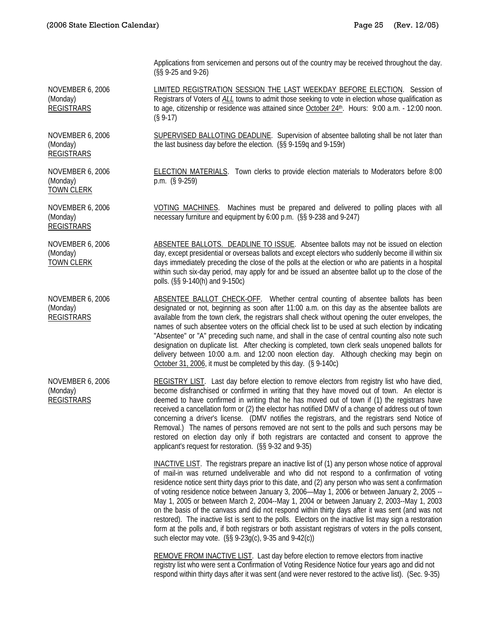Applications from servicemen and persons out of the country may be received throughout the day. (§§ 9-25 and 9-26)

LIMITED REGISTRATION SESSION THE LAST WEEKDAY BEFORE ELECTION. Session of Registrars of Voters of *ALL* towns to admit those seeking to vote in election whose qualification as to age, citizenship or residence was attained since October 24th. Hours: 9:00 a.m. - 12:00 noon. (§ 9-17)

SUPERVISED BALLOTING DEADLINE. Supervision of absentee balloting shall be not later than the last business day before the election. (§§ 9-159q and 9-159r)

ELECTION MATERIALS. Town clerks to provide election materials to Moderators before 8:00 p.m. (§ 9-259)

VOTING MACHINES. Machines must be prepared and delivered to polling places with all necessary furniture and equipment by 6:00 p.m. (§§ 9-238 and 9-247)

ABSENTEE BALLOTS. DEADLINE TO ISSUE. Absentee ballots may not be issued on election day, except presidential or overseas ballots and except electors who suddenly become ill within six days immediately preceding the close of the polls at the election or who are patients in a hospital within such six-day period, may apply for and be issued an absentee ballot up to the close of the polls. (§§ 9-140(h) and 9-150c)

ABSENTEE BALLOT CHECK-OFF. Whether central counting of absentee ballots has been designated or not, beginning as soon after 11:00 a.m. on this day as the absentee ballots are available from the town clerk, the registrars shall check without opening the outer envelopes, the names of such absentee voters on the official check list to be used at such election by indicating "Absentee" or "A" preceding such name, and shall in the case of central counting also note such designation on duplicate list. After checking is completed, town clerk seals unopened ballots for delivery between 10:00 a.m. and 12:00 noon election day. Although checking may begin on October 31, 2006, it must be completed by this day. (§ 9-140c)

REGISTRY LIST. Last day before election to remove electors from registry list who have died, become disfranchised or confirmed in writing that they have moved out of town. An elector is deemed to have confirmed in writing that he has moved out of town if (1) the registrars have received a cancellation form or (2) the elector has notified DMV of a change of address out of town concerning a driver's license. (DMV notifies the registrars, and the registrars send Notice of Removal.) The names of persons removed are not sent to the polls and such persons may be restored on election day only if both registrars are contacted and consent to approve the applicant's request for restoration. (§§ 9-32 and 9-35)

INACTIVE LIST. The registrars prepare an inactive list of (1) any person whose notice of approval of mail-in was returned undeliverable and who did not respond to a confirmation of voting residence notice sent thirty days prior to this date, and (2) any person who was sent a confirmation of voting residence notice between January 3, 2006—May 1, 2006 or between January 2, 2005 -- May 1, 2005 or between March 2, 2004--May 1, 2004 or between January 2, 2003--May 1, 2003 on the basis of the canvass and did not respond within thirty days after it was sent (and was not restored). The inactive list is sent to the polls. Electors on the inactive list may sign a restoration form at the polls and, if both registrars or both assistant registrars of voters in the polls consent, such elector may vote. (§§ 9-23g(c), 9-35 and 9-42(c))

REMOVE FROM INACTIVE LIST. Last day before election to remove electors from inactive registry list who were sent a Confirmation of Voting Residence Notice four years ago and did not respond within thirty days after it was sent (and were never restored to the active list). (Sec. 9-35)

NOVEMBER 6, 2006 (Monday) REGISTRARS

NOVEMBER 6, 2006 (Monday) REGISTRARS

NOVEMBER 6, 2006 (Monday) TOWN CLERK

NOVEMBER 6, 2006 (Monday) REGISTRARS

NOVEMBER 6, 2006 (Monday) TOWN CLERK

NOVEMBER 6, 2006 (Monday) REGISTRARS

NOVEMBER 6, 2006 (Monday) **REGISTRARS**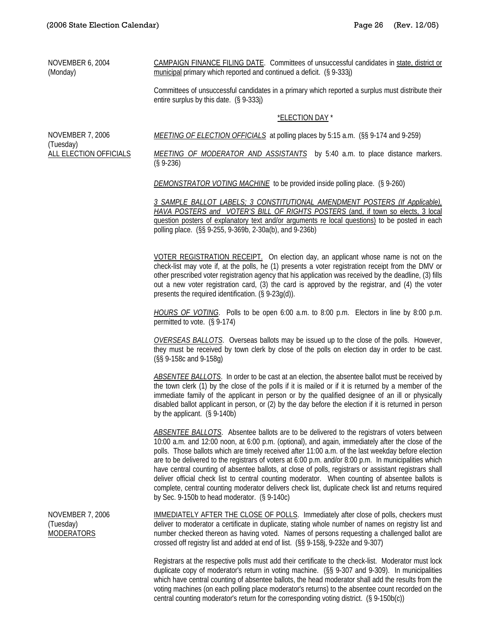NOVEMBER 6, 2004 (Monday)

CAMPAIGN FINANCE FILING DATE. Committees of unsuccessful candidates in state, district or municipal primary which reported and continued a deficit. (§ 9-333j)

Committees of unsuccessful candidates in a primary which reported a surplus must distribute their entire surplus by this date. (§ 9-333j)

#### \*ELECTION DAY \*

NOVEMBER 7, 2006 (Tuesday) ALL ELECTION OFFICIALS *MEETING OF ELECTION OFFICIALS* at polling places by 5:15 a.m. (§§ 9-174 and 9-259)

*MEETING OF MODERATOR AND ASSISTANTS* by 5:40 a.m. to place distance markers. (§ 9-236)

*DEMONSTRATOR VOTING MACHINE* to be provided inside polling place. (§ 9-260)

*3 SAMPLE BALLOT LABELS; 3 CONSTITUTIONAL AMENDMENT POSTERS (If Applicable), HAVA POSTERS and VOTER'S BILL OF RIGHTS POSTERS* (and, if town so elects, 3 local question posters of explanatory text and/or arguments re local questions) to be posted in each polling place. (§§ 9-255, 9-369b, 2-30a(b), and 9-236b)

 VOTER REGISTRATION RECEIPT. On election day, an applicant whose name is not on the check-list may vote if, at the polls, he (1) presents a voter registration receipt from the DMV or other prescribed voter registration agency that his application was received by the deadline, (3) fills out a new voter registration card, (3) the card is approved by the registrar, and (4) the voter presents the required identification. (§ 9-23g(d)).

*HOURS OF VOTING*. Polls to be open 6:00 a.m. to 8:00 p.m. Electors in line by 8:00 p.m. permitted to vote. (§ 9-174)

*OVERSEAS BALLOTS*. Overseas ballots may be issued up to the close of the polls. However, they must be received by town clerk by close of the polls on election day in order to be cast. (§§ 9-158c and 9-158g)

*ABSENTEE BALLOTS*. In order to be cast at an election, the absentee ballot must be received by the town clerk (1) by the close of the polls if it is mailed or if it is returned by a member of the immediate family of the applicant in person or by the qualified designee of an ill or physically disabled ballot applicant in person, or (2) by the day before the election if it is returned in person by the applicant. (§ 9-140b)

*ABSENTEE BALLOTS*. Absentee ballots are to be delivered to the registrars of voters between 10:00 a.m. and 12:00 noon, at 6:00 p.m. (optional), and again, immediately after the close of the polls. Those ballots which are timely received after 11:00 a.m. of the last weekday before election are to be delivered to the registrars of voters at 6:00 p.m. and/or 8:00 p.m. In municipalities which have central counting of absentee ballots, at close of polls, registrars or assistant registrars shall deliver official check list to central counting moderator. When counting of absentee ballots is complete, central counting moderator delivers check list, duplicate check list and returns required by Sec. 9-150b to head moderator. (§ 9-140c)

NOVEMBER 7, 2006 (Tuesday) MODERATORS

IMMEDIATELY AFTER THE CLOSE OF POLLS. Immediately after close of polls, checkers must deliver to moderator a certificate in duplicate, stating whole number of names on registry list and number checked thereon as having voted. Names of persons requesting a challenged ballot are crossed off registry list and added at end of list. (§§ 9-158j, 9-232e and 9-307)

Registrars at the respective polls must add their certificate to the check-list. Moderator must lock duplicate copy of moderator's return in voting machine. (§§ 9-307 and 9-309). In municipalities which have central counting of absentee ballots, the head moderator shall add the results from the voting machines (on each polling place moderator's returns) to the absentee count recorded on the central counting moderator's return for the corresponding voting district. (§ 9-150b(c))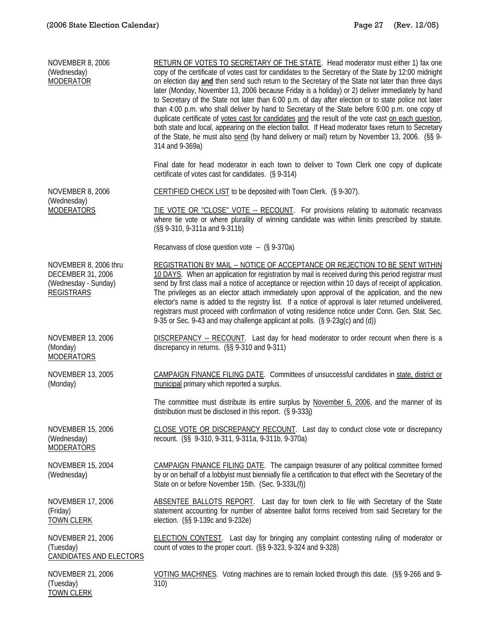TOWN CLERK

| <b>NOVEMBER 8, 2006</b><br>(Wednesday)<br><b>MODERATOR</b>                              | RETURN OF VOTES TO SECRETARY OF THE STATE. Head moderator must either 1) fax one<br>copy of the certificate of votes cast for candidates to the Secretary of the State by 12:00 midnight<br>on election day and then send such return to the Secretary of the State not later than three days<br>later (Monday, November 13, 2006 because Friday is a holiday) or 2) deliver immediately by hand<br>to Secretary of the State not later than 6:00 p.m. of day after election or to state police not later<br>than 4:00 p.m. who shall deliver by hand to Secretary of the State before 6:00 p.m. one copy of<br>duplicate certificate of votes cast for candidates and the result of the vote cast on each question,<br>both state and local, appearing on the election ballot. If Head moderator faxes return to Secretary<br>of the State, he must also send (by hand delivery or mail) return by November 13, 2006. (§§ 9-<br>314 and 9-369a) |
|-----------------------------------------------------------------------------------------|--------------------------------------------------------------------------------------------------------------------------------------------------------------------------------------------------------------------------------------------------------------------------------------------------------------------------------------------------------------------------------------------------------------------------------------------------------------------------------------------------------------------------------------------------------------------------------------------------------------------------------------------------------------------------------------------------------------------------------------------------------------------------------------------------------------------------------------------------------------------------------------------------------------------------------------------------|
|                                                                                         | Final date for head moderator in each town to deliver to Town Clerk one copy of duplicate<br>certificate of votes cast for candidates. (§ 9-314)                                                                                                                                                                                                                                                                                                                                                                                                                                                                                                                                                                                                                                                                                                                                                                                                 |
| <b>NOVEMBER 8, 2006</b>                                                                 | CERTIFIED CHECK LIST to be deposited with Town Clerk. (§ 9-307).                                                                                                                                                                                                                                                                                                                                                                                                                                                                                                                                                                                                                                                                                                                                                                                                                                                                                 |
| (Wednesday)<br><b>MODERATORS</b>                                                        | TIE VOTE OR "CLOSE" VOTE -- RECOUNT. For provisions relating to automatic recanvass<br>where tie vote or where plurality of winning candidate was within limits prescribed by statute.<br>(§§ 9-310, 9-311a and 9-311b)                                                                                                                                                                                                                                                                                                                                                                                                                                                                                                                                                                                                                                                                                                                          |
|                                                                                         | Recanvass of close question vote -- (§ 9-370a)                                                                                                                                                                                                                                                                                                                                                                                                                                                                                                                                                                                                                                                                                                                                                                                                                                                                                                   |
| NOVEMBER 8, 2006 thru<br>DECEMBER 31, 2006<br>(Wednesday - Sunday)<br><b>REGISTRARS</b> | REGISTRATION BY MAIL -- NOTICE OF ACCEPTANCE OR REJECTION TO BE SENT WITHIN<br>10 DAYS. When an application for registration by mail is received during this period registrar must<br>send by first class mail a notice of acceptance or rejection within 10 days of receipt of application.<br>The privileges as an elector attach immediately upon approval of the application, and the new<br>elector's name is added to the registry list. If a notice of approval is later returned undelivered,<br>registrars must proceed with confirmation of voting residence notice under Conn. Gen. Stat. Sec.<br>9-35 or Sec. 9-43 and may challenge applicant at polls. (§ 9-23g(c) and (d))                                                                                                                                                                                                                                                        |
| <b>NOVEMBER 13, 2006</b><br>(Monday)<br><b>MODERATORS</b>                               | DISCREPANCY -- RECOUNT. Last day for head moderator to order recount when there is a<br>discrepancy in returns. (§§ 9-310 and 9-311)                                                                                                                                                                                                                                                                                                                                                                                                                                                                                                                                                                                                                                                                                                                                                                                                             |
| <b>NOVEMBER 13, 2005</b><br>(Monday)                                                    | CAMPAIGN FINANCE FILING DATE. Committees of unsuccessful candidates in state, district or<br>municipal primary which reported a surplus.                                                                                                                                                                                                                                                                                                                                                                                                                                                                                                                                                                                                                                                                                                                                                                                                         |
|                                                                                         | The committee must distribute its entire surplus by November 6, 2006, and the manner of its<br>distribution must be disclosed in this report. $(S_9-333i)$                                                                                                                                                                                                                                                                                                                                                                                                                                                                                                                                                                                                                                                                                                                                                                                       |
| <b>NOVEMBER 15, 2006</b><br>(Wednesday)<br><b>MODERATORS</b>                            | CLOSE VOTE OR DISCREPANCY RECOUNT. Last day to conduct close vote or discrepancy<br>recount. (§§ 9-310, 9-311, 9-311a, 9-311b, 9-370a)                                                                                                                                                                                                                                                                                                                                                                                                                                                                                                                                                                                                                                                                                                                                                                                                           |
| <b>NOVEMBER 15, 2004</b><br>(Wednesday)                                                 | CAMPAIGN FINANCE FILING DATE. The campaign treasurer of any political committee formed<br>by or on behalf of a lobbyist must biennially file a certification to that effect with the Secretary of the<br>State on or before November 15th. (Sec. 9-333L(f))                                                                                                                                                                                                                                                                                                                                                                                                                                                                                                                                                                                                                                                                                      |
| <b>NOVEMBER 17, 2006</b><br>(Friday)<br><b>TOWN CLERK</b>                               | ABSENTEE BALLOTS REPORT. Last day for town clerk to file with Secretary of the State<br>statement accounting for number of absentee ballot forms received from said Secretary for the<br>election. (§§ 9-139c and 9-232e)                                                                                                                                                                                                                                                                                                                                                                                                                                                                                                                                                                                                                                                                                                                        |
| NOVEMBER 21, 2006<br>(Tuesday)<br><b>CANDIDATES AND ELECTORS</b>                        | <b>ELECTION CONTEST.</b> Last day for bringing any complaint contesting ruling of moderator or<br>count of votes to the proper court. (§§ 9-323, 9-324 and 9-328)                                                                                                                                                                                                                                                                                                                                                                                                                                                                                                                                                                                                                                                                                                                                                                                |
| <b>NOVEMBER 21, 2006</b><br>(Tuesday)<br>TOMA OI FOIZ                                   | VOTING MACHINES. Voting machines are to remain locked through this date. (§§ 9-266 and 9-<br>310)                                                                                                                                                                                                                                                                                                                                                                                                                                                                                                                                                                                                                                                                                                                                                                                                                                                |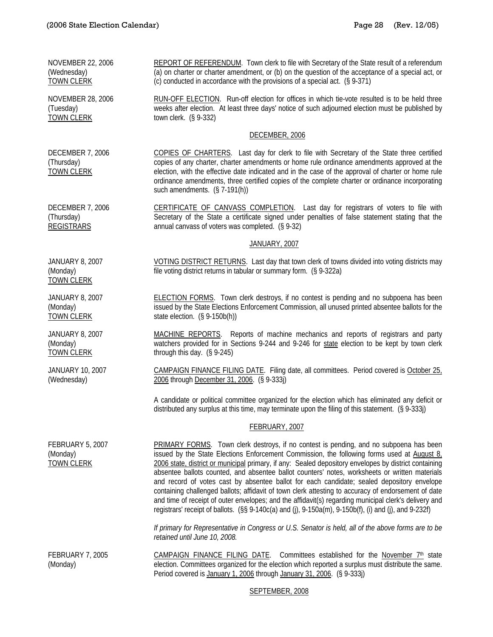NOVEMBER 22, 2006 (Wednesday) TOWN CLERK REPORT OF REFERENDUM. Town clerk to file with Secretary of the State result of a referendum (a) on charter or charter amendment, or (b) on the question of the acceptance of a special act, or (c) conducted in accordance with the provisions of a special act. (§ 9-371) NOVEMBER 28, 2006 (Tuesday) TOWN CLERK RUN-OFF ELECTION. Run-off election for offices in which tie-vote resulted is to be held three weeks after election. At least three days' notice of such adjourned election must be published by town clerk. (§ 9-332) DECEMBER, 2006 DECEMBER 7, 2006 (Thursday) TOWN CLERK COPIES OF CHARTERS. Last day for clerk to file with Secretary of the State three certified copies of any charter, charter amendments or home rule ordinance amendments approved at the election, with the effective date indicated and in the case of the approval of charter or home rule ordinance amendments, three certified copies of the complete charter or ordinance incorporating such amendments. (§ 7-191(h)) DECEMBER 7, 2006 (Thursday) REGISTRARS CERTIFICATE OF CANVASS COMPLETION. Last day for registrars of voters to file with Secretary of the State a certificate signed under penalties of false statement stating that the annual canvass of voters was completed. (§ 9-32) JANUARY, 2007 JANUARY 8, 2007 (Monday) TOWN CLERK VOTING DISTRICT RETURNS. Last day that town clerk of towns divided into voting districts may file voting district returns in tabular or summary form. (§ 9-322a) JANUARY 8, 2007 (Monday) TOWN CLERK ELECTION FORMS. Town clerk destroys, if no contest is pending and no subpoena has been issued by the State Elections Enforcement Commission, all unused printed absentee ballots for the state election. (§ 9-150b(h)) JANUARY 8, 2007 (Monday) TOWN CLERK MACHINE REPORTS. Reports of machine mechanics and reports of registrars and party watchers provided for in Sections 9-244 and 9-246 for state election to be kept by town clerk through this day. (§ 9-245) JANUARY 10, 2007 (Wednesday) CAMPAIGN FINANCE FILING DATE. Filing date, all committees. Period covered is October 25, 2006 through December 31, 2006. (§ 9-333j) A candidate or political committee organized for the election which has eliminated any deficit or distributed any surplus at this time, may terminate upon the filing of this statement. (§ 9-333j) FEBRUARY, 2007 FEBRUARY 5, 2007 (Monday) TOWN CLERK PRIMARY FORMS. Town clerk destroys, if no contest is pending, and no subpoena has been issued by the State Elections Enforcement Commission, the following forms used at August  $8<sub>i</sub>$ 2006 state, district or municipal primary, if any: Sealed depository envelopes by district containing absentee ballots counted, and absentee ballot counters' notes, worksheets or written materials and record of votes cast by absentee ballot for each candidate; sealed depository envelope containing challenged ballots; affidavit of town clerk attesting to accuracy of endorsement of date and time of receipt of outer envelopes; and the affidavit(s) regarding municipal clerk's delivery and registrars' receipt of ballots. (§§ 9-140c(a) and (j), 9-150a(m), 9-150b(f), (i) and (j), and 9-232f) *If primary for Representative in Congress or U.S. Senator is held, all of the above forms are to be retained until June 10, 2008.*  FEBRUARY 7, 2005 (Monday) CAMPAIGN FINANCE FILING DATE. Committees established for the November 7<sup>th</sup> state election. Committees organized for the election which reported a surplus must distribute the same. Period covered is January 1, 2006 through January 31, 2006. (§ 9-333j)

## SEPTEMBER, 2008